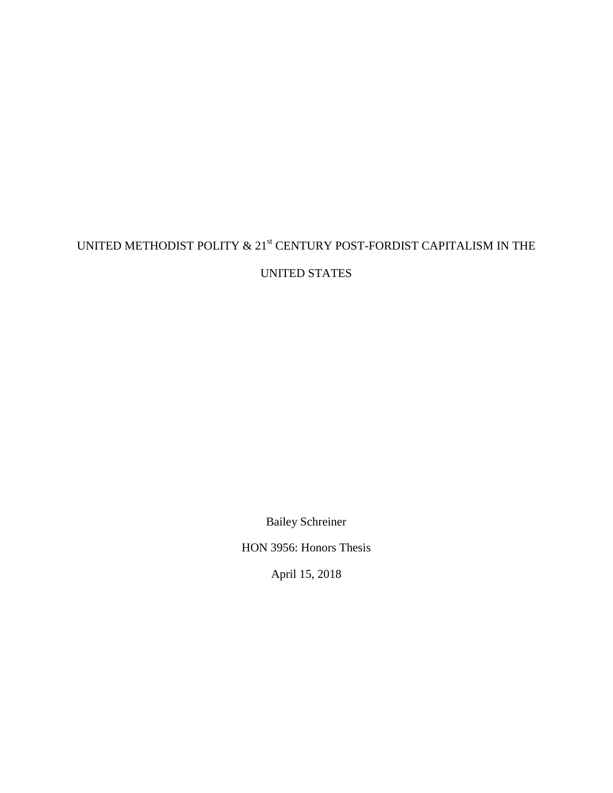# UNITED METHODIST POLITY  $\&$  21<sup>st</sup> CENTURY POST-FORDIST CAPITALISM IN THE

UNITED STATES

Bailey Schreiner

HON 3956: Honors Thesis

April 15, 2018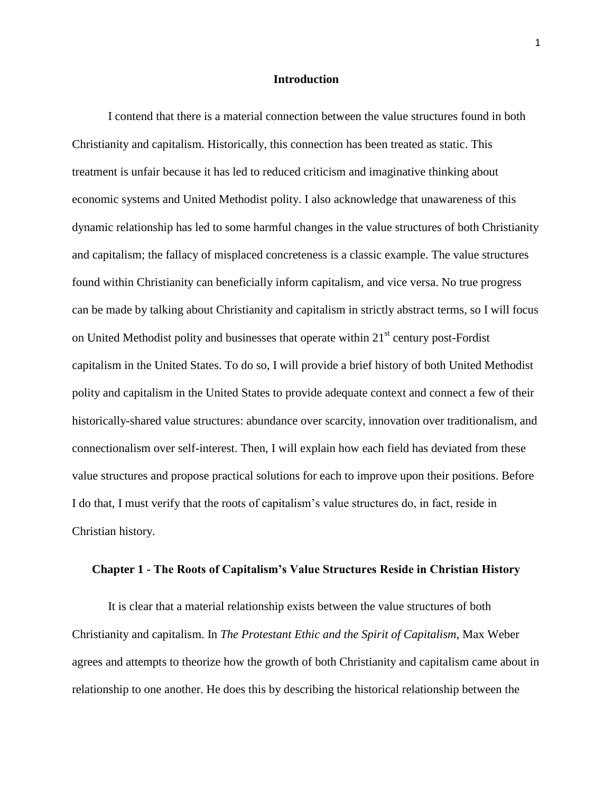#### **Introduction**

I contend that there is a material connection between the value structures found in both Christianity and capitalism. Historically, this connection has been treated as static. This treatment is unfair because it has led to reduced criticism and imaginative thinking about economic systems and United Methodist polity. I also acknowledge that unawareness of this dynamic relationship has led to some harmful changes in the value structures of both Christianity and capitalism; the fallacy of misplaced concreteness is a classic example. The value structures found within Christianity can beneficially inform capitalism, and vice versa. No true progress can be made by talking about Christianity and capitalism in strictly abstract terms, so I will focus on United Methodist polity and businesses that operate within  $21<sup>st</sup>$  century post-Fordist capitalism in the United States. To do so, I will provide a brief history of both United Methodist polity and capitalism in the United States to provide adequate context and connect a few of their historically-shared value structures: abundance over scarcity, innovation over traditionalism, and connectionalism over self-interest. Then, I will explain how each field has deviated from these value structures and propose practical solutions for each to improve upon their positions. Before I do that, I must verify that the roots of capitalism's value structures do, in fact, reside in Christian history.

## **Chapter 1 - The Roots of Capitalism's Value Structures Reside in Christian History**

It is clear that a material relationship exists between the value structures of both Christianity and capitalism. In *The Protestant Ethic and the Spirit of Capitalism*, Max Weber agrees and attempts to theorize how the growth of both Christianity and capitalism came about in relationship to one another. He does this by describing the historical relationship between the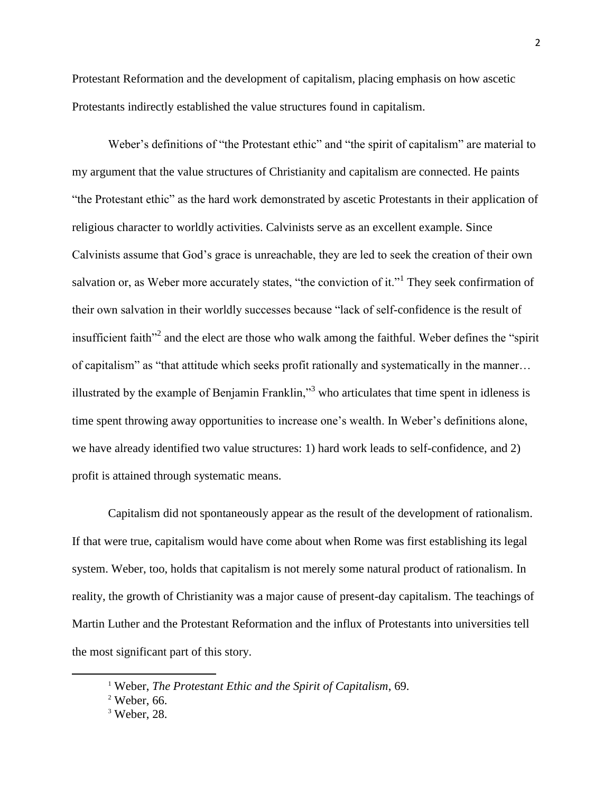Protestant Reformation and the development of capitalism, placing emphasis on how ascetic Protestants indirectly established the value structures found in capitalism.

Weber's definitions of "the Protestant ethic" and "the spirit of capitalism" are material to my argument that the value structures of Christianity and capitalism are connected. He paints "the Protestant ethic" as the hard work demonstrated by ascetic Protestants in their application of religious character to worldly activities. Calvinists serve as an excellent example. Since Calvinists assume that God's grace is unreachable, they are led to seek the creation of their own salvation or, as Weber more accurately states, "the conviction of it."<sup>1</sup> They seek confirmation of their own salvation in their worldly successes because "lack of self-confidence is the result of insufficient faith"<sup>2</sup> and the elect are those who walk among the faithful. Weber defines the "spirit" of capitalism" as "that attitude which seeks profit rationally and systematically in the manner… illustrated by the example of Benjamin Franklin, $\mathbf{r}^3$  who articulates that time spent in idleness is time spent throwing away opportunities to increase one's wealth. In Weber's definitions alone, we have already identified two value structures: 1) hard work leads to self-confidence, and 2) profit is attained through systematic means.

Capitalism did not spontaneously appear as the result of the development of rationalism. If that were true, capitalism would have come about when Rome was first establishing its legal system. Weber, too, holds that capitalism is not merely some natural product of rationalism. In reality, the growth of Christianity was a major cause of present-day capitalism. The teachings of Martin Luther and the Protestant Reformation and the influx of Protestants into universities tell the most significant part of this story.

<sup>1</sup> Weber, *The Protestant Ethic and the Spirit of Capitalism*, 69.

 $2$  Weber, 66.

 $3$  Weber, 28.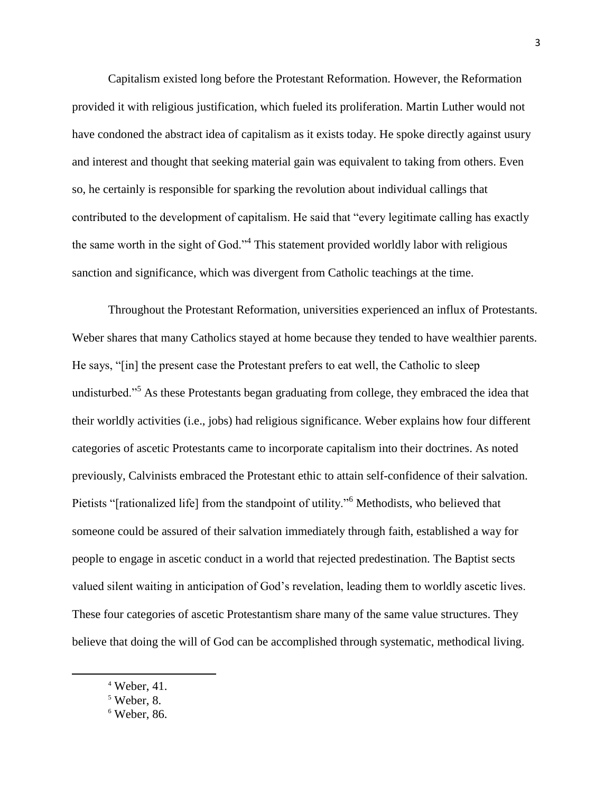Capitalism existed long before the Protestant Reformation. However, the Reformation provided it with religious justification, which fueled its proliferation. Martin Luther would not have condoned the abstract idea of capitalism as it exists today. He spoke directly against usury and interest and thought that seeking material gain was equivalent to taking from others. Even so, he certainly is responsible for sparking the revolution about individual callings that contributed to the development of capitalism. He said that "every legitimate calling has exactly the same worth in the sight of God."<sup>4</sup> This statement provided worldly labor with religious sanction and significance, which was divergent from Catholic teachings at the time.

Throughout the Protestant Reformation, universities experienced an influx of Protestants. Weber shares that many Catholics stayed at home because they tended to have wealthier parents. He says, "[in] the present case the Protestant prefers to eat well, the Catholic to sleep undisturbed."<sup>5</sup> As these Protestants began graduating from college, they embraced the idea that their worldly activities (i.e., jobs) had religious significance. Weber explains how four different categories of ascetic Protestants came to incorporate capitalism into their doctrines. As noted previously, Calvinists embraced the Protestant ethic to attain self-confidence of their salvation. Pietists "[rationalized life] from the standpoint of utility."<sup>6</sup> Methodists, who believed that someone could be assured of their salvation immediately through faith, established a way for people to engage in ascetic conduct in a world that rejected predestination. The Baptist sects valued silent waiting in anticipation of God's revelation, leading them to worldly ascetic lives. These four categories of ascetic Protestantism share many of the same value structures. They believe that doing the will of God can be accomplished through systematic, methodical living.

 $4$  Weber, 41.

<sup>5</sup> Weber, 8.

 $6$  Weber, 86.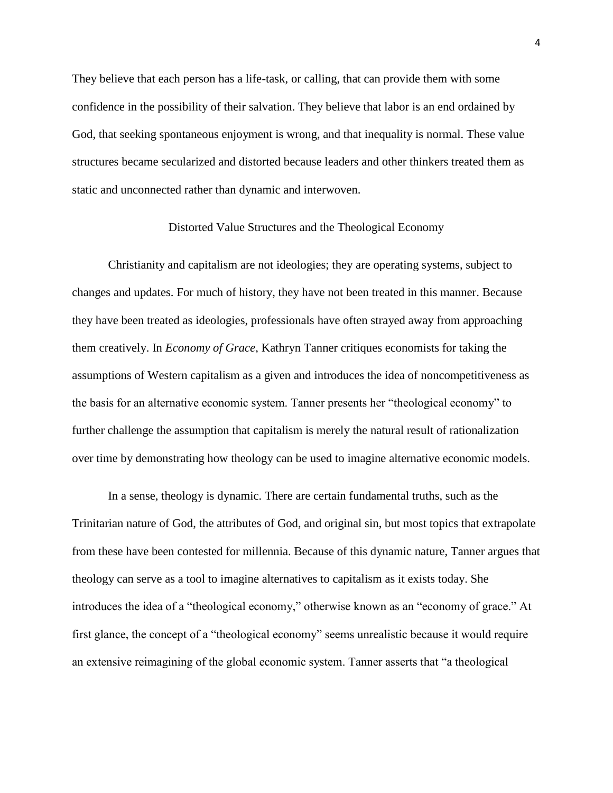They believe that each person has a life-task, or calling, that can provide them with some confidence in the possibility of their salvation. They believe that labor is an end ordained by God, that seeking spontaneous enjoyment is wrong, and that inequality is normal. These value structures became secularized and distorted because leaders and other thinkers treated them as static and unconnected rather than dynamic and interwoven.

#### Distorted Value Structures and the Theological Economy

Christianity and capitalism are not ideologies; they are operating systems, subject to changes and updates. For much of history, they have not been treated in this manner. Because they have been treated as ideologies, professionals have often strayed away from approaching them creatively. In *Economy of Grace*, Kathryn Tanner critiques economists for taking the assumptions of Western capitalism as a given and introduces the idea of noncompetitiveness as the basis for an alternative economic system. Tanner presents her "theological economy" to further challenge the assumption that capitalism is merely the natural result of rationalization over time by demonstrating how theology can be used to imagine alternative economic models.

In a sense, theology is dynamic. There are certain fundamental truths, such as the Trinitarian nature of God, the attributes of God, and original sin, but most topics that extrapolate from these have been contested for millennia. Because of this dynamic nature, Tanner argues that theology can serve as a tool to imagine alternatives to capitalism as it exists today. She introduces the idea of a "theological economy," otherwise known as an "economy of grace." At first glance, the concept of a "theological economy" seems unrealistic because it would require an extensive reimagining of the global economic system. Tanner asserts that "a theological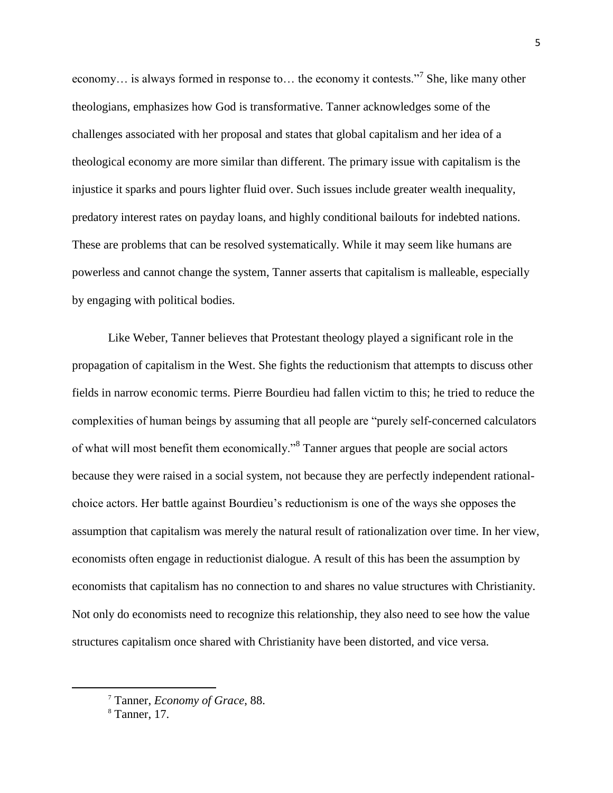economy... is always formed in response to... the economy it contests."<sup>7</sup> She, like many other theologians, emphasizes how God is transformative. Tanner acknowledges some of the challenges associated with her proposal and states that global capitalism and her idea of a theological economy are more similar than different. The primary issue with capitalism is the injustice it sparks and pours lighter fluid over. Such issues include greater wealth inequality, predatory interest rates on payday loans, and highly conditional bailouts for indebted nations. These are problems that can be resolved systematically. While it may seem like humans are powerless and cannot change the system, Tanner asserts that capitalism is malleable, especially by engaging with political bodies.

Like Weber, Tanner believes that Protestant theology played a significant role in the propagation of capitalism in the West. She fights the reductionism that attempts to discuss other fields in narrow economic terms. Pierre Bourdieu had fallen victim to this; he tried to reduce the complexities of human beings by assuming that all people are "purely self-concerned calculators of what will most benefit them economically."<sup>8</sup> Tanner argues that people are social actors because they were raised in a social system, not because they are perfectly independent rationalchoice actors. Her battle against Bourdieu's reductionism is one of the ways she opposes the assumption that capitalism was merely the natural result of rationalization over time. In her view, economists often engage in reductionist dialogue. A result of this has been the assumption by economists that capitalism has no connection to and shares no value structures with Christianity. Not only do economists need to recognize this relationship, they also need to see how the value structures capitalism once shared with Christianity have been distorted, and vice versa.

<sup>7</sup> Tanner, *Economy of Grace*, 88.

<sup>8</sup> Tanner, 17.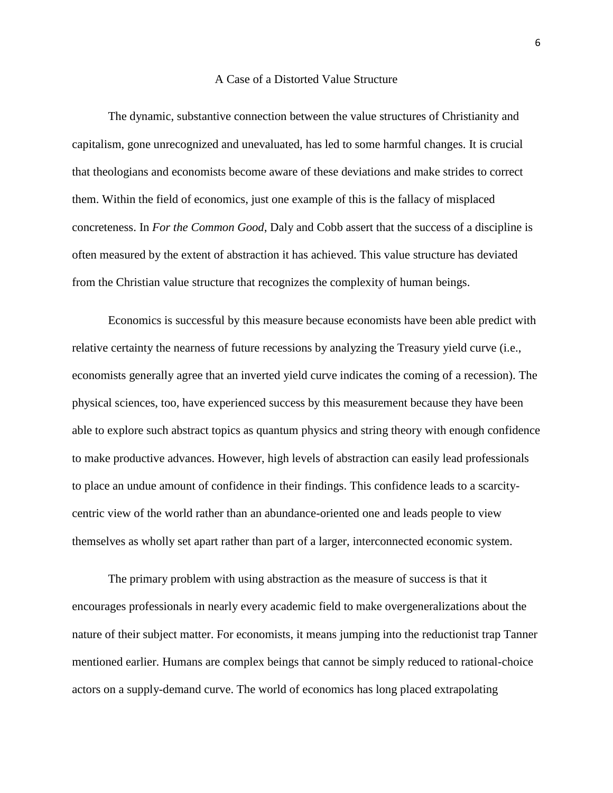#### A Case of a Distorted Value Structure

The dynamic, substantive connection between the value structures of Christianity and capitalism, gone unrecognized and unevaluated, has led to some harmful changes. It is crucial that theologians and economists become aware of these deviations and make strides to correct them. Within the field of economics, just one example of this is the fallacy of misplaced concreteness. In *For the Common Good*, Daly and Cobb assert that the success of a discipline is often measured by the extent of abstraction it has achieved. This value structure has deviated from the Christian value structure that recognizes the complexity of human beings.

Economics is successful by this measure because economists have been able predict with relative certainty the nearness of future recessions by analyzing the Treasury yield curve (i.e., economists generally agree that an inverted yield curve indicates the coming of a recession). The physical sciences, too, have experienced success by this measurement because they have been able to explore such abstract topics as quantum physics and string theory with enough confidence to make productive advances. However, high levels of abstraction can easily lead professionals to place an undue amount of confidence in their findings. This confidence leads to a scarcitycentric view of the world rather than an abundance-oriented one and leads people to view themselves as wholly set apart rather than part of a larger, interconnected economic system.

The primary problem with using abstraction as the measure of success is that it encourages professionals in nearly every academic field to make overgeneralizations about the nature of their subject matter. For economists, it means jumping into the reductionist trap Tanner mentioned earlier. Humans are complex beings that cannot be simply reduced to rational-choice actors on a supply-demand curve. The world of economics has long placed extrapolating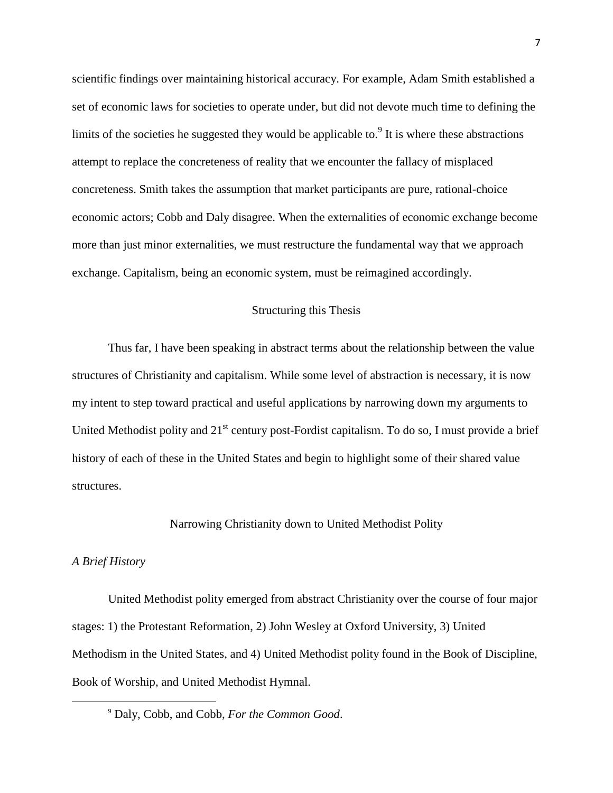scientific findings over maintaining historical accuracy. For example, Adam Smith established a set of economic laws for societies to operate under, but did not devote much time to defining the limits of the societies he suggested they would be applicable to. $9$  It is where these abstractions attempt to replace the concreteness of reality that we encounter the fallacy of misplaced concreteness. Smith takes the assumption that market participants are pure, rational-choice economic actors; Cobb and Daly disagree. When the externalities of economic exchange become more than just minor externalities, we must restructure the fundamental way that we approach exchange. Capitalism, being an economic system, must be reimagined accordingly.

## Structuring this Thesis

Thus far, I have been speaking in abstract terms about the relationship between the value structures of Christianity and capitalism. While some level of abstraction is necessary, it is now my intent to step toward practical and useful applications by narrowing down my arguments to United Methodist polity and 21<sup>st</sup> century post-Fordist capitalism. To do so, I must provide a brief history of each of these in the United States and begin to highlight some of their shared value structures.

## Narrowing Christianity down to United Methodist Polity

## *A Brief History*

 $\overline{\phantom{a}}$ 

United Methodist polity emerged from abstract Christianity over the course of four major stages: 1) the Protestant Reformation, 2) John Wesley at Oxford University, 3) United Methodism in the United States, and 4) United Methodist polity found in the Book of Discipline, Book of Worship, and United Methodist Hymnal.

<sup>9</sup> Daly, Cobb, and Cobb, *For the Common Good*.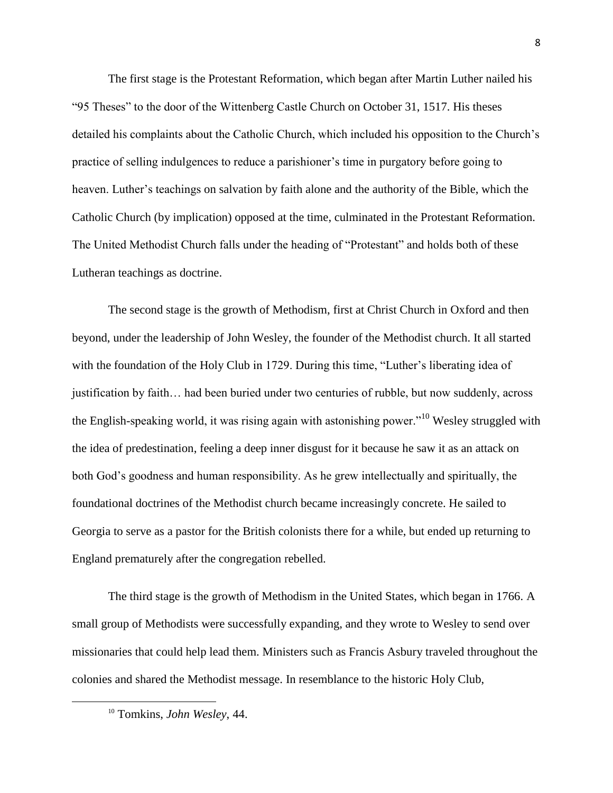The first stage is the Protestant Reformation, which began after Martin Luther nailed his "95 Theses" to the door of the Wittenberg Castle Church on October 31, 1517. His theses detailed his complaints about the Catholic Church, which included his opposition to the Church's practice of selling indulgences to reduce a parishioner's time in purgatory before going to heaven. Luther's teachings on salvation by faith alone and the authority of the Bible, which the Catholic Church (by implication) opposed at the time, culminated in the Protestant Reformation. The United Methodist Church falls under the heading of "Protestant" and holds both of these Lutheran teachings as doctrine.

The second stage is the growth of Methodism, first at Christ Church in Oxford and then beyond, under the leadership of John Wesley, the founder of the Methodist church. It all started with the foundation of the Holy Club in 1729. During this time, "Luther's liberating idea of justification by faith… had been buried under two centuries of rubble, but now suddenly, across the English-speaking world, it was rising again with astonishing power."<sup>10</sup> Wesley struggled with the idea of predestination, feeling a deep inner disgust for it because he saw it as an attack on both God's goodness and human responsibility. As he grew intellectually and spiritually, the foundational doctrines of the Methodist church became increasingly concrete. He sailed to Georgia to serve as a pastor for the British colonists there for a while, but ended up returning to England prematurely after the congregation rebelled.

The third stage is the growth of Methodism in the United States, which began in 1766. A small group of Methodists were successfully expanding, and they wrote to Wesley to send over missionaries that could help lead them. Ministers such as Francis Asbury traveled throughout the colonies and shared the Methodist message. In resemblance to the historic Holy Club,

<sup>10</sup> Tomkins, *John Wesley*, 44.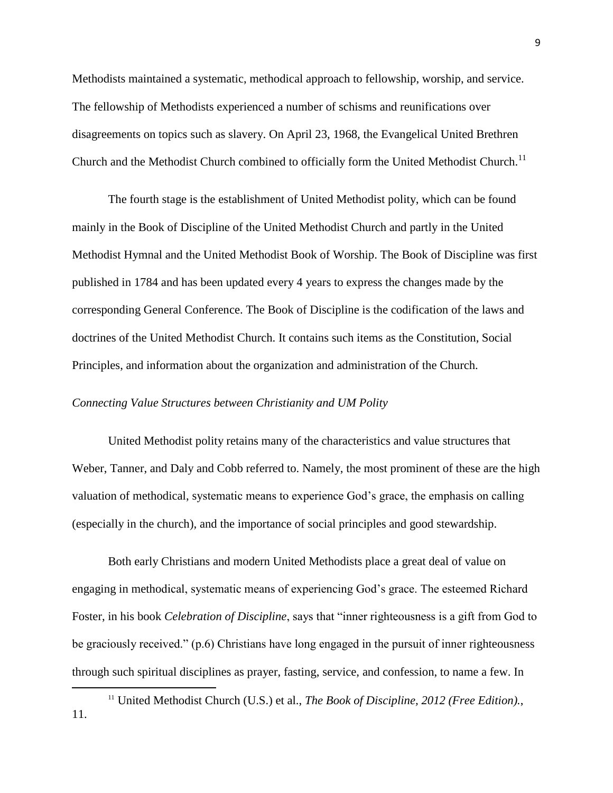Methodists maintained a systematic, methodical approach to fellowship, worship, and service. The fellowship of Methodists experienced a number of schisms and reunifications over disagreements on topics such as slavery. On April 23, 1968, the Evangelical United Brethren Church and the Methodist Church combined to officially form the United Methodist Church.<sup>11</sup>

The fourth stage is the establishment of United Methodist polity, which can be found mainly in the Book of Discipline of the United Methodist Church and partly in the United Methodist Hymnal and the United Methodist Book of Worship. The Book of Discipline was first published in 1784 and has been updated every 4 years to express the changes made by the corresponding General Conference. The Book of Discipline is the codification of the laws and doctrines of the United Methodist Church. It contains such items as the Constitution, Social Principles, and information about the organization and administration of the Church.

## *Connecting Value Structures between Christianity and UM Polity*

 $\overline{\phantom{a}}$ 

United Methodist polity retains many of the characteristics and value structures that Weber, Tanner, and Daly and Cobb referred to. Namely, the most prominent of these are the high valuation of methodical, systematic means to experience God's grace, the emphasis on calling (especially in the church), and the importance of social principles and good stewardship.

Both early Christians and modern United Methodists place a great deal of value on engaging in methodical, systematic means of experiencing God's grace. The esteemed Richard Foster, in his book *Celebration of Discipline*, says that "inner righteousness is a gift from God to be graciously received." (p.6) Christians have long engaged in the pursuit of inner righteousness through such spiritual disciplines as prayer, fasting, service, and confession, to name a few. In

<sup>11</sup> United Methodist Church (U.S.) et al., *The Book of Discipline, 2012 (Free Edition).*, 11.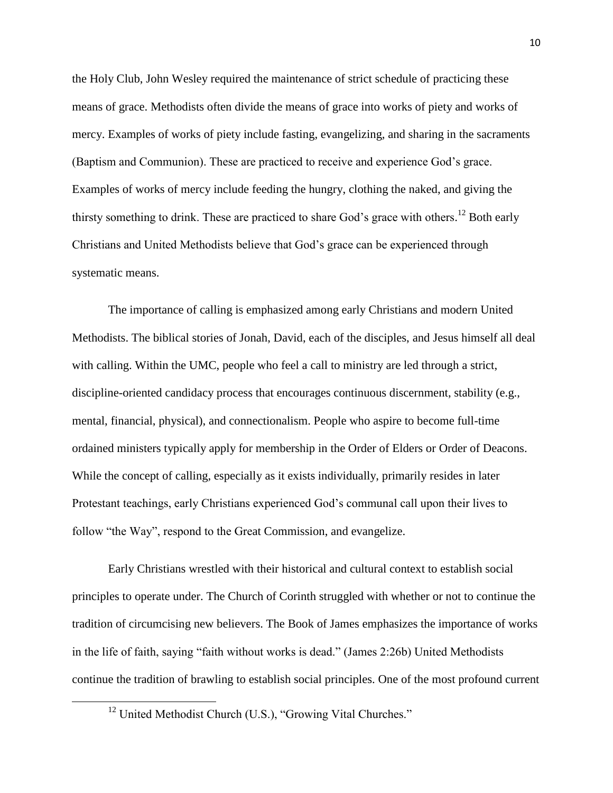the Holy Club, John Wesley required the maintenance of strict schedule of practicing these means of grace. Methodists often divide the means of grace into works of piety and works of mercy. Examples of works of piety include fasting, evangelizing, and sharing in the sacraments (Baptism and Communion). These are practiced to receive and experience God's grace. Examples of works of mercy include feeding the hungry, clothing the naked, and giving the thirsty something to drink. These are practiced to share God's grace with others.<sup>12</sup> Both early Christians and United Methodists believe that God's grace can be experienced through systematic means.

The importance of calling is emphasized among early Christians and modern United Methodists. The biblical stories of Jonah, David, each of the disciples, and Jesus himself all deal with calling. Within the UMC, people who feel a call to ministry are led through a strict, discipline-oriented candidacy process that encourages continuous discernment, stability (e.g., mental, financial, physical), and connectionalism. People who aspire to become full-time ordained ministers typically apply for membership in the Order of Elders or Order of Deacons. While the concept of calling, especially as it exists individually, primarily resides in later Protestant teachings, early Christians experienced God's communal call upon their lives to follow "the Way", respond to the Great Commission, and evangelize.

Early Christians wrestled with their historical and cultural context to establish social principles to operate under. The Church of Corinth struggled with whether or not to continue the tradition of circumcising new believers. The Book of James emphasizes the importance of works in the life of faith, saying "faith without works is dead." (James 2:26b) United Methodists continue the tradition of brawling to establish social principles. One of the most profound current

<sup>&</sup>lt;sup>12</sup> United Methodist Church (U.S.), "Growing Vital Churches."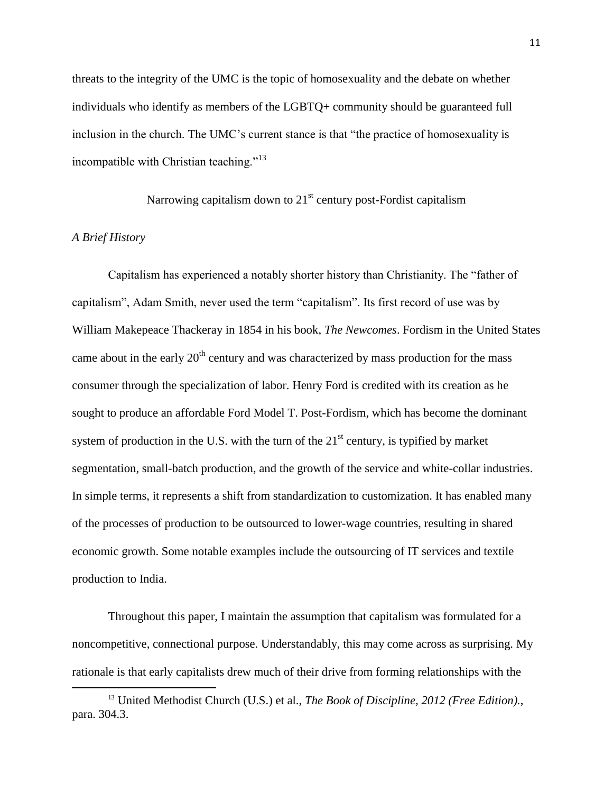threats to the integrity of the UMC is the topic of homosexuality and the debate on whether individuals who identify as members of the LGBTQ+ community should be guaranteed full inclusion in the church. The UMC's current stance is that "the practice of homosexuality is incompatible with Christian teaching."<sup>13</sup>

Narrowing capitalism down to  $21<sup>st</sup>$  century post-Fordist capitalism

## *A Brief History*

 $\overline{\phantom{a}}$ 

Capitalism has experienced a notably shorter history than Christianity. The "father of capitalism", Adam Smith, never used the term "capitalism". Its first record of use was by William Makepeace Thackeray in 1854 in his book, *The Newcomes*. Fordism in the United States came about in the early  $20<sup>th</sup>$  century and was characterized by mass production for the mass consumer through the specialization of labor. Henry Ford is credited with its creation as he sought to produce an affordable Ford Model T. Post-Fordism, which has become the dominant system of production in the U.S. with the turn of the  $21<sup>st</sup>$  century, is typified by market segmentation, small-batch production, and the growth of the service and white-collar industries. In simple terms, it represents a shift from standardization to customization. It has enabled many of the processes of production to be outsourced to lower-wage countries, resulting in shared economic growth. Some notable examples include the outsourcing of IT services and textile production to India.

Throughout this paper, I maintain the assumption that capitalism was formulated for a noncompetitive, connectional purpose. Understandably, this may come across as surprising. My rationale is that early capitalists drew much of their drive from forming relationships with the

<sup>13</sup> United Methodist Church (U.S.) et al., *The Book of Discipline, 2012 (Free Edition).*, para. 304.3.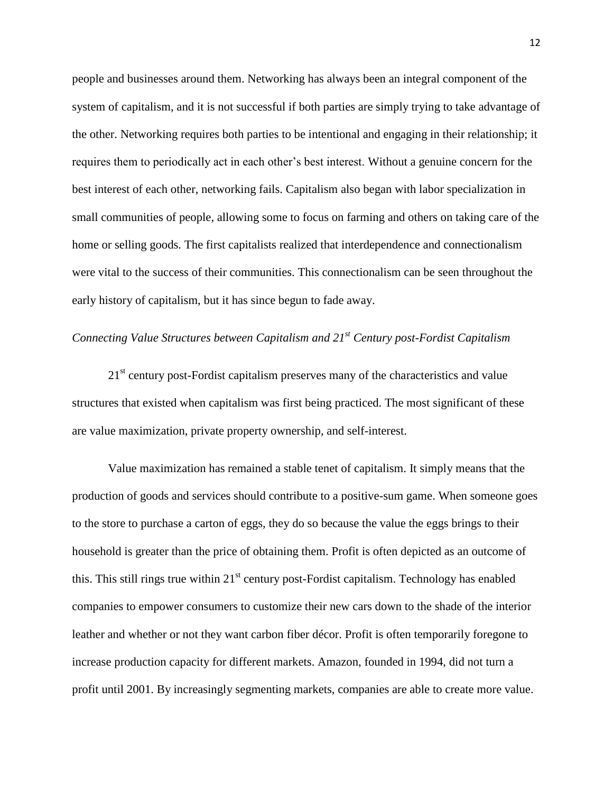people and businesses around them. Networking has always been an integral component of the system of capitalism, and it is not successful if both parties are simply trying to take advantage of the other. Networking requires both parties to be intentional and engaging in their relationship; it requires them to periodically act in each other's best interest. Without a genuine concern for the best interest of each other, networking fails. Capitalism also began with labor specialization in small communities of people, allowing some to focus on farming and others on taking care of the home or selling goods. The first capitalists realized that interdependence and connectionalism were vital to the success of their communities. This connectionalism can be seen throughout the early history of capitalism, but it has since begun to fade away.

# *Connecting Value Structures between Capitalism and 21st Century post-Fordist Capitalism*

21<sup>st</sup> century post-Fordist capitalism preserves many of the characteristics and value structures that existed when capitalism was first being practiced. The most significant of these are value maximization, private property ownership, and self-interest.

Value maximization has remained a stable tenet of capitalism. It simply means that the production of goods and services should contribute to a positive-sum game. When someone goes to the store to purchase a carton of eggs, they do so because the value the eggs brings to their household is greater than the price of obtaining them. Profit is often depicted as an outcome of this. This still rings true within  $21<sup>st</sup>$  century post-Fordist capitalism. Technology has enabled companies to empower consumers to customize their new cars down to the shade of the interior leather and whether or not they want carbon fiber décor. Profit is often temporarily foregone to increase production capacity for different markets. Amazon, founded in 1994, did not turn a profit until 2001. By increasingly segmenting markets, companies are able to create more value.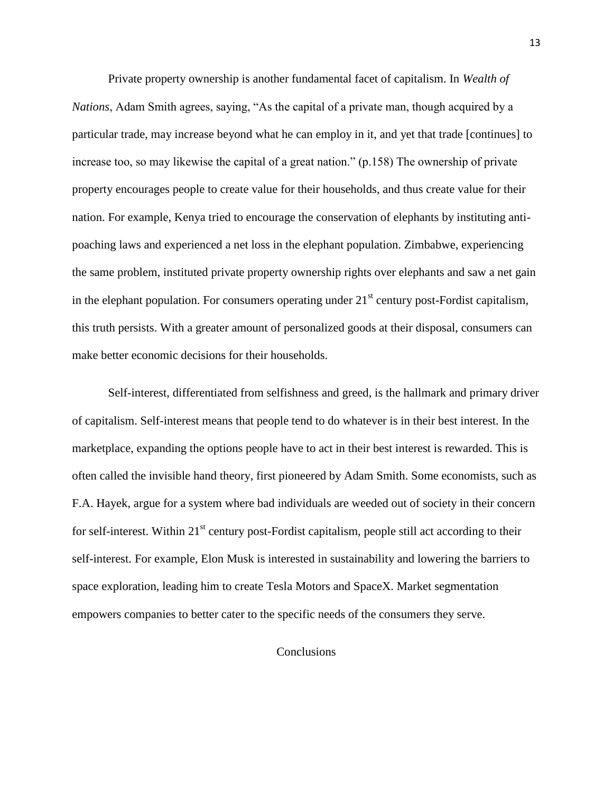Private property ownership is another fundamental facet of capitalism. In *Wealth of Nations*, Adam Smith agrees, saying, "As the capital of a private man, though acquired by a particular trade, may increase beyond what he can employ in it, and yet that trade [continues] to increase too, so may likewise the capital of a great nation." (p.158) The ownership of private property encourages people to create value for their households, and thus create value for their nation. For example, Kenya tried to encourage the conservation of elephants by instituting antipoaching laws and experienced a net loss in the elephant population. Zimbabwe, experiencing the same problem, instituted private property ownership rights over elephants and saw a net gain in the elephant population. For consumers operating under  $21<sup>st</sup>$  century post-Fordist capitalism, this truth persists. With a greater amount of personalized goods at their disposal, consumers can make better economic decisions for their households.

Self-interest, differentiated from selfishness and greed, is the hallmark and primary driver of capitalism. Self-interest means that people tend to do whatever is in their best interest. In the marketplace, expanding the options people have to act in their best interest is rewarded. This is often called the invisible hand theory, first pioneered by Adam Smith. Some economists, such as F.A. Hayek, argue for a system where bad individuals are weeded out of society in their concern for self-interest. Within  $21<sup>st</sup>$  century post-Fordist capitalism, people still act according to their self-interest. For example, Elon Musk is interested in sustainability and lowering the barriers to space exploration, leading him to create Tesla Motors and SpaceX. Market segmentation empowers companies to better cater to the specific needs of the consumers they serve.

# **Conclusions**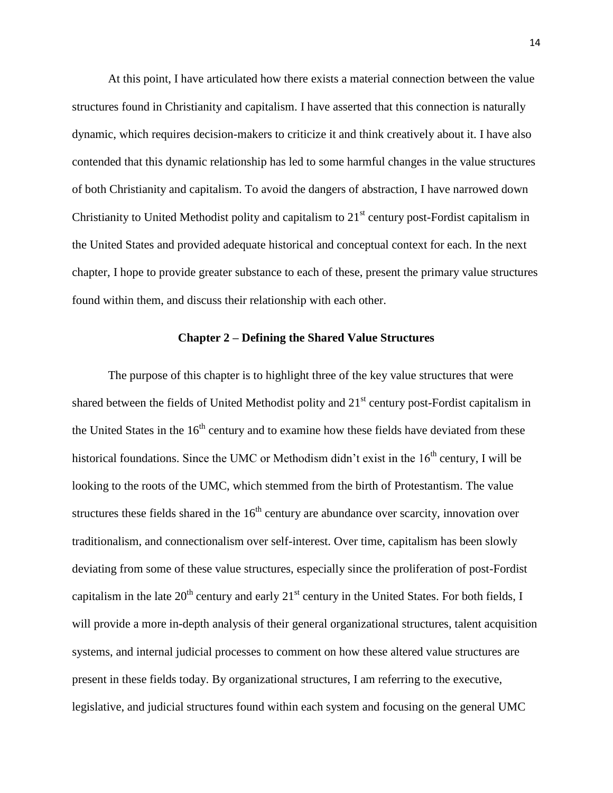At this point, I have articulated how there exists a material connection between the value structures found in Christianity and capitalism. I have asserted that this connection is naturally dynamic, which requires decision-makers to criticize it and think creatively about it. I have also contended that this dynamic relationship has led to some harmful changes in the value structures of both Christianity and capitalism. To avoid the dangers of abstraction, I have narrowed down Christianity to United Methodist polity and capitalism to  $21<sup>st</sup>$  century post-Fordist capitalism in the United States and provided adequate historical and conceptual context for each. In the next chapter, I hope to provide greater substance to each of these, present the primary value structures found within them, and discuss their relationship with each other.

#### **Chapter 2 – Defining the Shared Value Structures**

The purpose of this chapter is to highlight three of the key value structures that were shared between the fields of United Methodist polity and  $21<sup>st</sup>$  century post-Fordist capitalism in the United States in the  $16<sup>th</sup>$  century and to examine how these fields have deviated from these historical foundations. Since the UMC or Methodism didn't exist in the  $16<sup>th</sup>$  century, I will be looking to the roots of the UMC, which stemmed from the birth of Protestantism. The value structures these fields shared in the  $16<sup>th</sup>$  century are abundance over scarcity, innovation over traditionalism, and connectionalism over self-interest. Over time, capitalism has been slowly deviating from some of these value structures, especially since the proliferation of post-Fordist capitalism in the late  $20^{th}$  century and early  $21^{st}$  century in the United States. For both fields, I will provide a more in-depth analysis of their general organizational structures, talent acquisition systems, and internal judicial processes to comment on how these altered value structures are present in these fields today. By organizational structures, I am referring to the executive, legislative, and judicial structures found within each system and focusing on the general UMC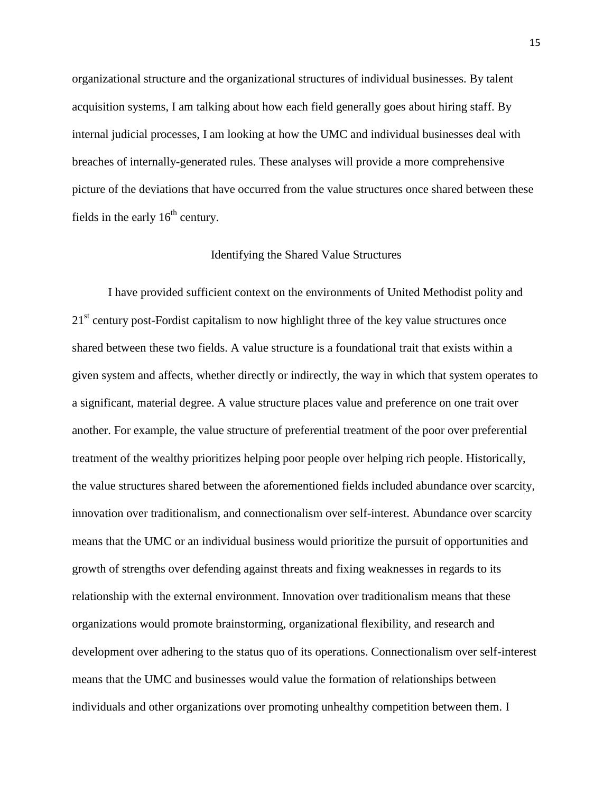organizational structure and the organizational structures of individual businesses. By talent acquisition systems, I am talking about how each field generally goes about hiring staff. By internal judicial processes, I am looking at how the UMC and individual businesses deal with breaches of internally-generated rules. These analyses will provide a more comprehensive picture of the deviations that have occurred from the value structures once shared between these fields in the early  $16<sup>th</sup>$  century.

#### Identifying the Shared Value Structures

I have provided sufficient context on the environments of United Methodist polity and 21<sup>st</sup> century post-Fordist capitalism to now highlight three of the key value structures once shared between these two fields. A value structure is a foundational trait that exists within a given system and affects, whether directly or indirectly, the way in which that system operates to a significant, material degree. A value structure places value and preference on one trait over another. For example, the value structure of preferential treatment of the poor over preferential treatment of the wealthy prioritizes helping poor people over helping rich people. Historically, the value structures shared between the aforementioned fields included abundance over scarcity, innovation over traditionalism, and connectionalism over self-interest. Abundance over scarcity means that the UMC or an individual business would prioritize the pursuit of opportunities and growth of strengths over defending against threats and fixing weaknesses in regards to its relationship with the external environment. Innovation over traditionalism means that these organizations would promote brainstorming, organizational flexibility, and research and development over adhering to the status quo of its operations. Connectionalism over self-interest means that the UMC and businesses would value the formation of relationships between individuals and other organizations over promoting unhealthy competition between them. I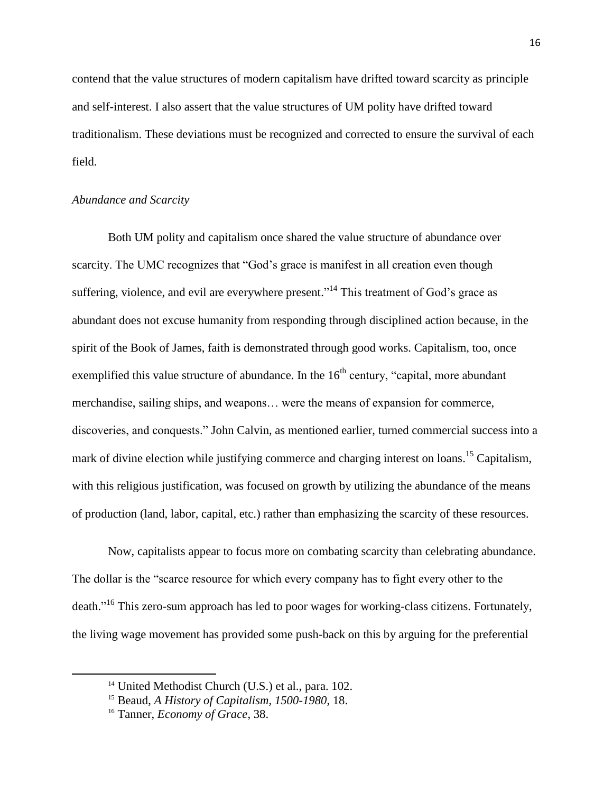contend that the value structures of modern capitalism have drifted toward scarcity as principle and self-interest. I also assert that the value structures of UM polity have drifted toward traditionalism. These deviations must be recognized and corrected to ensure the survival of each field.

# *Abundance and Scarcity*

Both UM polity and capitalism once shared the value structure of abundance over scarcity. The UMC recognizes that "God's grace is manifest in all creation even though suffering, violence, and evil are everywhere present."<sup>14</sup> This treatment of God's grace as abundant does not excuse humanity from responding through disciplined action because, in the spirit of the Book of James, faith is demonstrated through good works. Capitalism, too, once exemplified this value structure of abundance. In the  $16<sup>th</sup>$  century, "capital, more abundant merchandise, sailing ships, and weapons… were the means of expansion for commerce, discoveries, and conquests." John Calvin, as mentioned earlier, turned commercial success into a mark of divine election while justifying commerce and charging interest on loans.<sup>15</sup> Capitalism, with this religious justification, was focused on growth by utilizing the abundance of the means of production (land, labor, capital, etc.) rather than emphasizing the scarcity of these resources.

Now, capitalists appear to focus more on combating scarcity than celebrating abundance. The dollar is the "scarce resource for which every company has to fight every other to the death."<sup>16</sup> This zero-sum approach has led to poor wages for working-class citizens. Fortunately, the living wage movement has provided some push-back on this by arguing for the preferential

<sup>&</sup>lt;sup>14</sup> United Methodist Church (U.S.) et al., para. 102.

<sup>15</sup> Beaud, *A History of Capitalism, 1500-1980*, 18.

<sup>16</sup> Tanner, *Economy of Grace*, 38.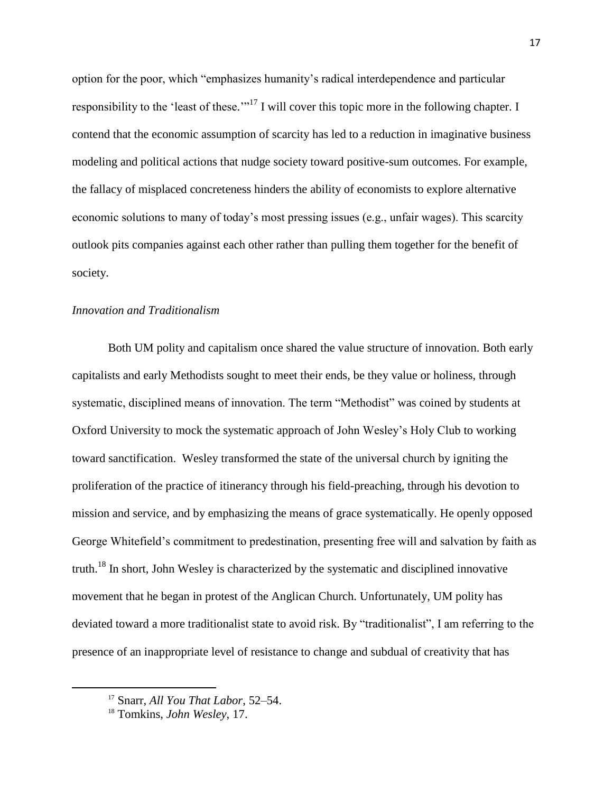option for the poor, which "emphasizes humanity's radical interdependence and particular responsibility to the 'least of these."<sup>17</sup> I will cover this topic more in the following chapter. I contend that the economic assumption of scarcity has led to a reduction in imaginative business modeling and political actions that nudge society toward positive-sum outcomes. For example, the fallacy of misplaced concreteness hinders the ability of economists to explore alternative economic solutions to many of today's most pressing issues (e.g., unfair wages). This scarcity outlook pits companies against each other rather than pulling them together for the benefit of society.

## *Innovation and Traditionalism*

Both UM polity and capitalism once shared the value structure of innovation. Both early capitalists and early Methodists sought to meet their ends, be they value or holiness, through systematic, disciplined means of innovation. The term "Methodist" was coined by students at Oxford University to mock the systematic approach of John Wesley's Holy Club to working toward sanctification. Wesley transformed the state of the universal church by igniting the proliferation of the practice of itinerancy through his field-preaching, through his devotion to mission and service, and by emphasizing the means of grace systematically. He openly opposed George Whitefield's commitment to predestination, presenting free will and salvation by faith as truth.<sup>18</sup> In short, John Wesley is characterized by the systematic and disciplined innovative movement that he began in protest of the Anglican Church. Unfortunately, UM polity has deviated toward a more traditionalist state to avoid risk. By "traditionalist", I am referring to the presence of an inappropriate level of resistance to change and subdual of creativity that has

<sup>17</sup> Snarr, *All You That Labor*, 52–54.

<sup>18</sup> Tomkins, *John Wesley*, 17.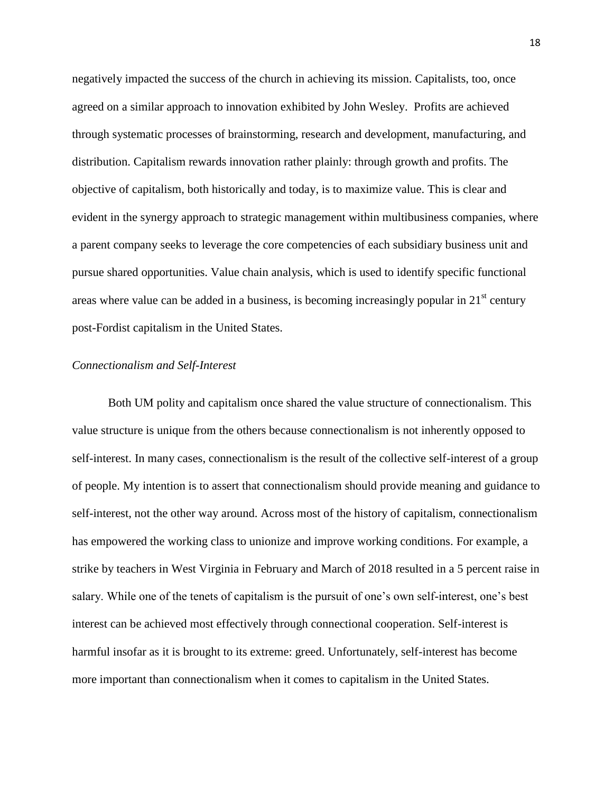negatively impacted the success of the church in achieving its mission. Capitalists, too, once agreed on a similar approach to innovation exhibited by John Wesley. Profits are achieved through systematic processes of brainstorming, research and development, manufacturing, and distribution. Capitalism rewards innovation rather plainly: through growth and profits. The objective of capitalism, both historically and today, is to maximize value. This is clear and evident in the synergy approach to strategic management within multibusiness companies, where a parent company seeks to leverage the core competencies of each subsidiary business unit and pursue shared opportunities. Value chain analysis, which is used to identify specific functional areas where value can be added in a business, is becoming increasingly popular in  $21<sup>st</sup>$  century post-Fordist capitalism in the United States.

## *Connectionalism and Self-Interest*

Both UM polity and capitalism once shared the value structure of connectionalism. This value structure is unique from the others because connectionalism is not inherently opposed to self-interest. In many cases, connectionalism is the result of the collective self-interest of a group of people. My intention is to assert that connectionalism should provide meaning and guidance to self-interest, not the other way around. Across most of the history of capitalism, connectionalism has empowered the working class to unionize and improve working conditions. For example, a strike by teachers in West Virginia in February and March of 2018 resulted in a 5 percent raise in salary. While one of the tenets of capitalism is the pursuit of one's own self-interest, one's best interest can be achieved most effectively through connectional cooperation. Self-interest is harmful insofar as it is brought to its extreme: greed. Unfortunately, self-interest has become more important than connectionalism when it comes to capitalism in the United States.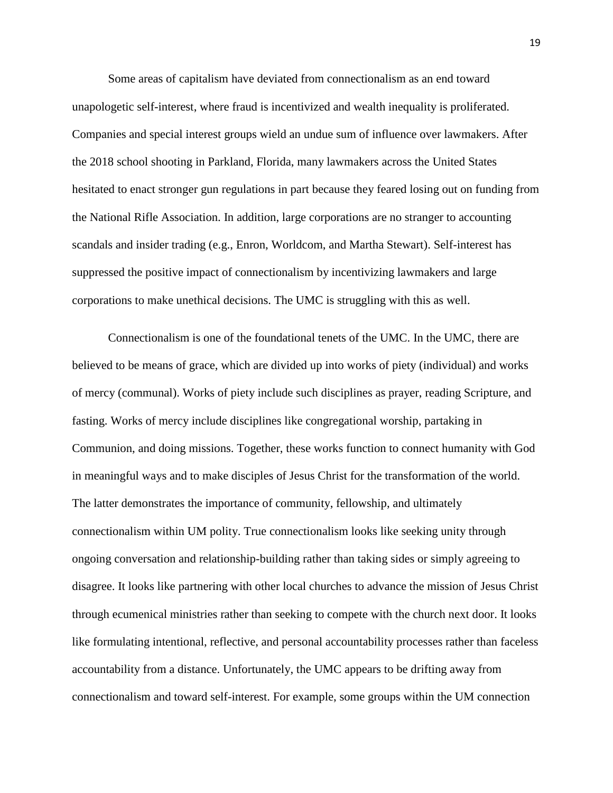Some areas of capitalism have deviated from connectionalism as an end toward unapologetic self-interest, where fraud is incentivized and wealth inequality is proliferated. Companies and special interest groups wield an undue sum of influence over lawmakers. After the 2018 school shooting in Parkland, Florida, many lawmakers across the United States hesitated to enact stronger gun regulations in part because they feared losing out on funding from the National Rifle Association. In addition, large corporations are no stranger to accounting scandals and insider trading (e.g., Enron, Worldcom, and Martha Stewart). Self-interest has suppressed the positive impact of connectionalism by incentivizing lawmakers and large corporations to make unethical decisions. The UMC is struggling with this as well.

Connectionalism is one of the foundational tenets of the UMC. In the UMC, there are believed to be means of grace, which are divided up into works of piety (individual) and works of mercy (communal). Works of piety include such disciplines as prayer, reading Scripture, and fasting. Works of mercy include disciplines like congregational worship, partaking in Communion, and doing missions. Together, these works function to connect humanity with God in meaningful ways and to make disciples of Jesus Christ for the transformation of the world. The latter demonstrates the importance of community, fellowship, and ultimately connectionalism within UM polity. True connectionalism looks like seeking unity through ongoing conversation and relationship-building rather than taking sides or simply agreeing to disagree. It looks like partnering with other local churches to advance the mission of Jesus Christ through ecumenical ministries rather than seeking to compete with the church next door. It looks like formulating intentional, reflective, and personal accountability processes rather than faceless accountability from a distance. Unfortunately, the UMC appears to be drifting away from connectionalism and toward self-interest. For example, some groups within the UM connection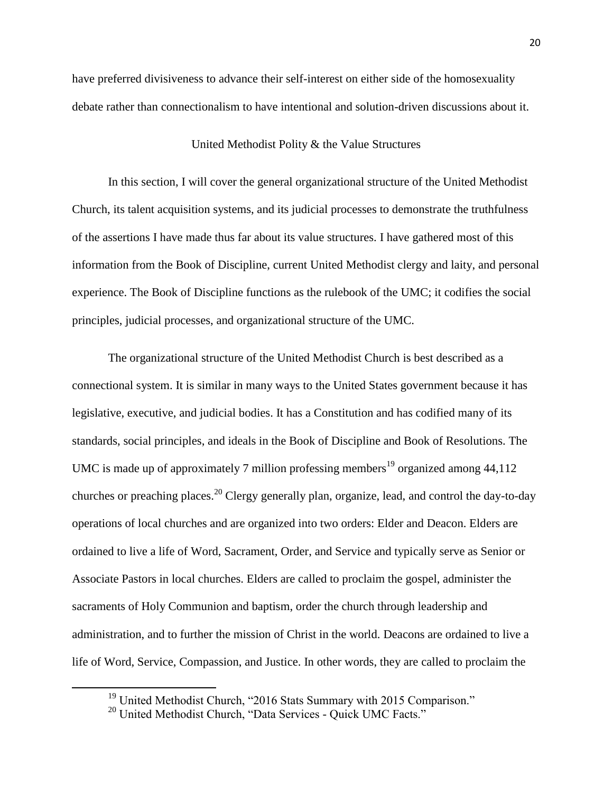have preferred divisiveness to advance their self-interest on either side of the homosexuality debate rather than connectionalism to have intentional and solution-driven discussions about it.

#### United Methodist Polity & the Value Structures

In this section, I will cover the general organizational structure of the United Methodist Church, its talent acquisition systems, and its judicial processes to demonstrate the truthfulness of the assertions I have made thus far about its value structures. I have gathered most of this information from the Book of Discipline, current United Methodist clergy and laity, and personal experience. The Book of Discipline functions as the rulebook of the UMC; it codifies the social principles, judicial processes, and organizational structure of the UMC.

The organizational structure of the United Methodist Church is best described as a connectional system. It is similar in many ways to the United States government because it has legislative, executive, and judicial bodies. It has a Constitution and has codified many of its standards, social principles, and ideals in the Book of Discipline and Book of Resolutions. The UMC is made up of approximately 7 million professing members<sup>19</sup> organized among  $44,112$ churches or preaching places.<sup>20</sup> Clergy generally plan, organize, lead, and control the day-to-day operations of local churches and are organized into two orders: Elder and Deacon. Elders are ordained to live a life of Word, Sacrament, Order, and Service and typically serve as Senior or Associate Pastors in local churches. Elders are called to proclaim the gospel, administer the sacraments of Holy Communion and baptism, order the church through leadership and administration, and to further the mission of Christ in the world. Deacons are ordained to live a life of Word, Service, Compassion, and Justice. In other words, they are called to proclaim the

<sup>&</sup>lt;sup>19</sup> United Methodist Church, "2016 Stats Summary with 2015 Comparison."

<sup>&</sup>lt;sup>20</sup> United Methodist Church, "Data Services - Quick UMC Facts."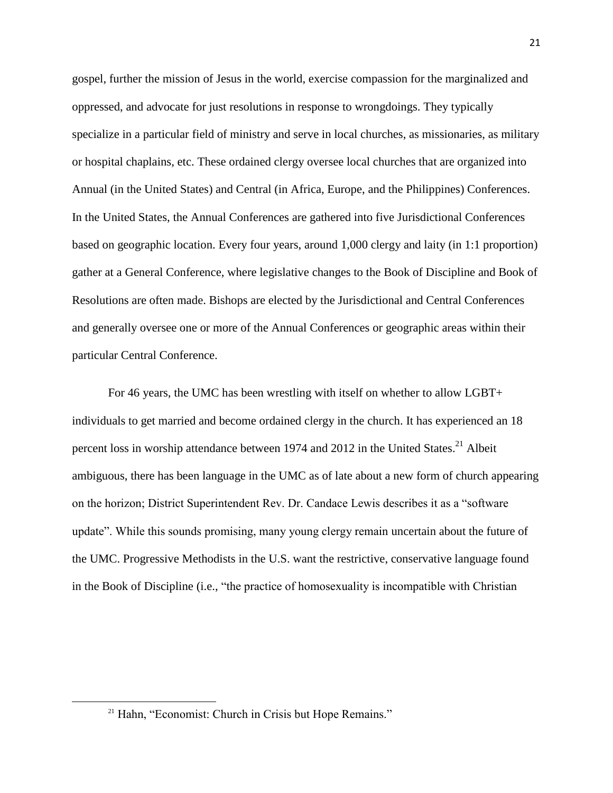gospel, further the mission of Jesus in the world, exercise compassion for the marginalized and oppressed, and advocate for just resolutions in response to wrongdoings. They typically specialize in a particular field of ministry and serve in local churches, as missionaries, as military or hospital chaplains, etc. These ordained clergy oversee local churches that are organized into Annual (in the United States) and Central (in Africa, Europe, and the Philippines) Conferences. In the United States, the Annual Conferences are gathered into five Jurisdictional Conferences based on geographic location. Every four years, around 1,000 clergy and laity (in 1:1 proportion) gather at a General Conference, where legislative changes to the Book of Discipline and Book of Resolutions are often made. Bishops are elected by the Jurisdictional and Central Conferences and generally oversee one or more of the Annual Conferences or geographic areas within their particular Central Conference.

For 46 years, the UMC has been wrestling with itself on whether to allow LGBT+ individuals to get married and become ordained clergy in the church. It has experienced an 18 percent loss in worship attendance between 1974 and 2012 in the United States.<sup>21</sup> Albeit ambiguous, there has been language in the UMC as of late about a new form of church appearing on the horizon; District Superintendent Rev. Dr. Candace Lewis describes it as a "software update". While this sounds promising, many young clergy remain uncertain about the future of the UMC. Progressive Methodists in the U.S. want the restrictive, conservative language found in the Book of Discipline (i.e., "the practice of homosexuality is incompatible with Christian

<sup>&</sup>lt;sup>21</sup> Hahn, "Economist: Church in Crisis but Hope Remains."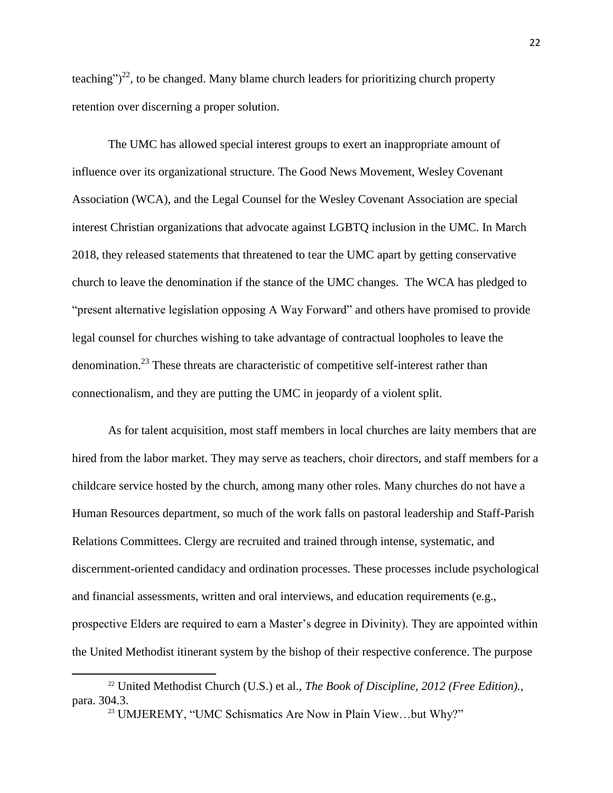teaching")<sup>22</sup>, to be changed. Many blame church leaders for prioritizing church property retention over discerning a proper solution.

The UMC has allowed special interest groups to exert an inappropriate amount of influence over its organizational structure. The Good News Movement, Wesley Covenant Association (WCA), and the Legal Counsel for the Wesley Covenant Association are special interest Christian organizations that advocate against LGBTQ inclusion in the UMC. In March 2018, they released statements that threatened to tear the UMC apart by getting conservative church to leave the denomination if the stance of the UMC changes. The WCA has pledged to "present alternative legislation opposing A Way Forward" and others have promised to provide legal counsel for churches wishing to take advantage of contractual loopholes to leave the denomination.<sup>23</sup> These threats are characteristic of competitive self-interest rather than connectionalism, and they are putting the UMC in jeopardy of a violent split.

As for talent acquisition, most staff members in local churches are laity members that are hired from the labor market. They may serve as teachers, choir directors, and staff members for a childcare service hosted by the church, among many other roles. Many churches do not have a Human Resources department, so much of the work falls on pastoral leadership and Staff-Parish Relations Committees. Clergy are recruited and trained through intense, systematic, and discernment-oriented candidacy and ordination processes. These processes include psychological and financial assessments, written and oral interviews, and education requirements (e.g., prospective Elders are required to earn a Master's degree in Divinity). They are appointed within the United Methodist itinerant system by the bishop of their respective conference. The purpose

<sup>&</sup>lt;sup>22</sup> United Methodist Church (U.S.) et al., *The Book of Discipline, 2012 (Free Edition).*, para. 304.3.

<sup>&</sup>lt;sup>23</sup> UMJEREMY, "UMC Schismatics Are Now in Plain View...but Why?"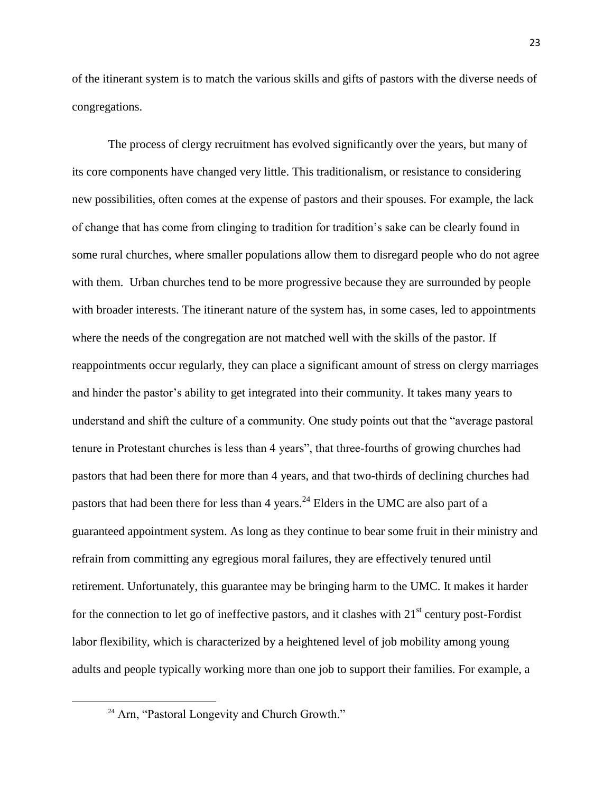of the itinerant system is to match the various skills and gifts of pastors with the diverse needs of congregations.

The process of clergy recruitment has evolved significantly over the years, but many of its core components have changed very little. This traditionalism, or resistance to considering new possibilities, often comes at the expense of pastors and their spouses. For example, the lack of change that has come from clinging to tradition for tradition's sake can be clearly found in some rural churches, where smaller populations allow them to disregard people who do not agree with them. Urban churches tend to be more progressive because they are surrounded by people with broader interests. The itinerant nature of the system has, in some cases, led to appointments where the needs of the congregation are not matched well with the skills of the pastor. If reappointments occur regularly, they can place a significant amount of stress on clergy marriages and hinder the pastor's ability to get integrated into their community. It takes many years to understand and shift the culture of a community. One study points out that the "average pastoral tenure in Protestant churches is less than 4 years", that three-fourths of growing churches had pastors that had been there for more than 4 years, and that two-thirds of declining churches had pastors that had been there for less than 4 years.<sup>24</sup> Elders in the UMC are also part of a guaranteed appointment system. As long as they continue to bear some fruit in their ministry and refrain from committing any egregious moral failures, they are effectively tenured until retirement. Unfortunately, this guarantee may be bringing harm to the UMC. It makes it harder for the connection to let go of ineffective pastors, and it clashes with  $21<sup>st</sup>$  century post-Fordist labor flexibility, which is characterized by a heightened level of job mobility among young adults and people typically working more than one job to support their families. For example, a

<sup>&</sup>lt;sup>24</sup> Arn, "Pastoral Longevity and Church Growth."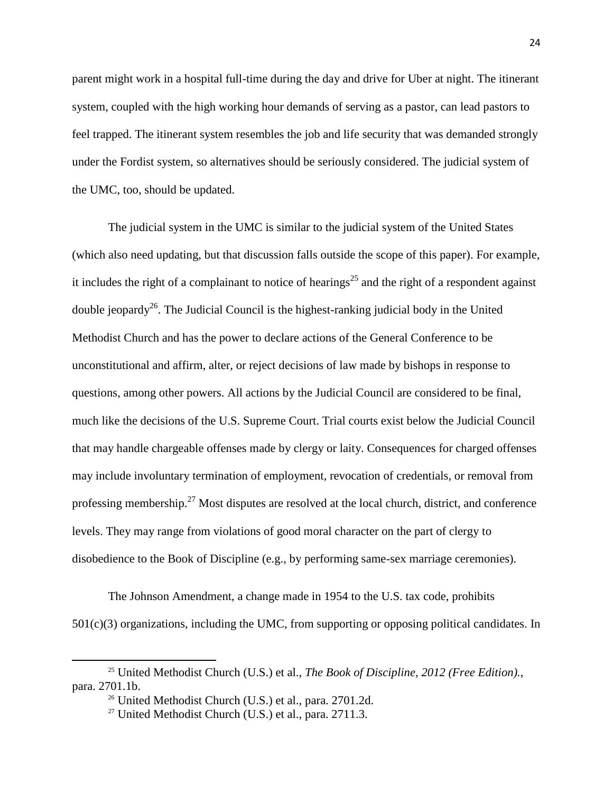parent might work in a hospital full-time during the day and drive for Uber at night. The itinerant system, coupled with the high working hour demands of serving as a pastor, can lead pastors to feel trapped. The itinerant system resembles the job and life security that was demanded strongly under the Fordist system, so alternatives should be seriously considered. The judicial system of the UMC, too, should be updated.

The judicial system in the UMC is similar to the judicial system of the United States (which also need updating, but that discussion falls outside the scope of this paper). For example, it includes the right of a complainant to notice of hearings<sup>25</sup> and the right of a respondent against double jeopardy<sup>26</sup>. The Judicial Council is the highest-ranking judicial body in the United Methodist Church and has the power to declare actions of the General Conference to be unconstitutional and affirm, alter, or reject decisions of law made by bishops in response to questions, among other powers. All actions by the Judicial Council are considered to be final, much like the decisions of the U.S. Supreme Court. Trial courts exist below the Judicial Council that may handle chargeable offenses made by clergy or laity. Consequences for charged offenses may include involuntary termination of employment, revocation of credentials, or removal from professing membership.<sup>27</sup> Most disputes are resolved at the local church, district, and conference levels. They may range from violations of good moral character on the part of clergy to disobedience to the Book of Discipline (e.g., by performing same-sex marriage ceremonies).

The Johnson Amendment, a change made in 1954 to the U.S. tax code, prohibits 501(c)(3) organizations, including the UMC, from supporting or opposing political candidates. In

 $\overline{a}$ 

<sup>25</sup> United Methodist Church (U.S.) et al., *The Book of Discipline, 2012 (Free Edition).*, para. 2701.1b.

<sup>&</sup>lt;sup>26</sup> United Methodist Church (U.S.) et al., para. 2701.2d.

<sup>&</sup>lt;sup>27</sup> United Methodist Church (U.S.) et al., para.  $2711.3$ .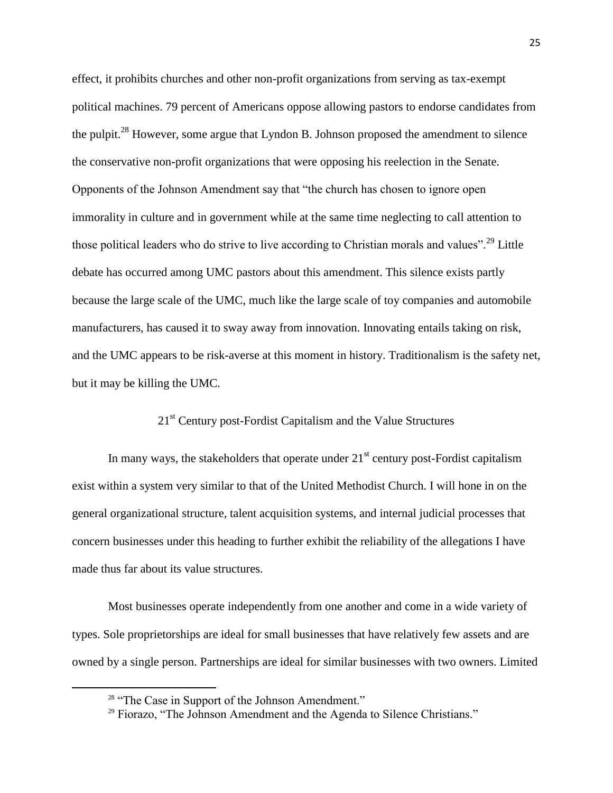effect, it prohibits churches and other non-profit organizations from serving as tax-exempt political machines. 79 percent of Americans oppose allowing pastors to endorse candidates from the pulpit.<sup>28</sup> However, some argue that Lyndon B. Johnson proposed the amendment to silence the conservative non-profit organizations that were opposing his reelection in the Senate. Opponents of the Johnson Amendment say that "the church has chosen to ignore open immorality in culture and in government while at the same time neglecting to call attention to those political leaders who do strive to live according to Christian morals and values".<sup>29</sup> Little debate has occurred among UMC pastors about this amendment. This silence exists partly because the large scale of the UMC, much like the large scale of toy companies and automobile manufacturers, has caused it to sway away from innovation. Innovating entails taking on risk, and the UMC appears to be risk-averse at this moment in history. Traditionalism is the safety net, but it may be killing the UMC.

# 21<sup>st</sup> Century post-Fordist Capitalism and the Value Structures

In many ways, the stakeholders that operate under  $21<sup>st</sup>$  century post-Fordist capitalism exist within a system very similar to that of the United Methodist Church. I will hone in on the general organizational structure, talent acquisition systems, and internal judicial processes that concern businesses under this heading to further exhibit the reliability of the allegations I have made thus far about its value structures.

Most businesses operate independently from one another and come in a wide variety of types. Sole proprietorships are ideal for small businesses that have relatively few assets and are owned by a single person. Partnerships are ideal for similar businesses with two owners. Limited

<sup>&</sup>lt;sup>28</sup> "The Case in Support of the Johnson Amendment."

<sup>&</sup>lt;sup>29</sup> Fiorazo, "The Johnson Amendment and the Agenda to Silence Christians."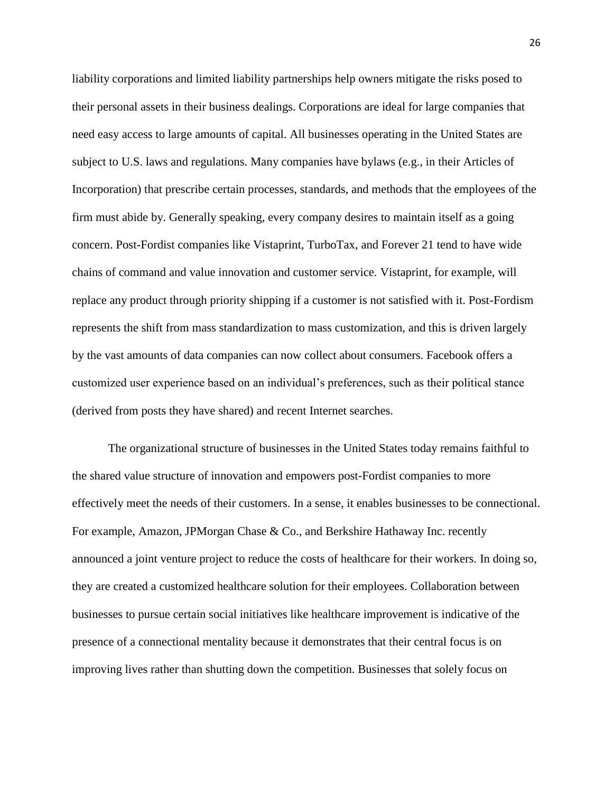liability corporations and limited liability partnerships help owners mitigate the risks posed to their personal assets in their business dealings. Corporations are ideal for large companies that need easy access to large amounts of capital. All businesses operating in the United States are subject to U.S. laws and regulations. Many companies have bylaws (e.g., in their Articles of Incorporation) that prescribe certain processes, standards, and methods that the employees of the firm must abide by. Generally speaking, every company desires to maintain itself as a going concern. Post-Fordist companies like Vistaprint, TurboTax, and Forever 21 tend to have wide chains of command and value innovation and customer service. Vistaprint, for example, will replace any product through priority shipping if a customer is not satisfied with it. Post-Fordism represents the shift from mass standardization to mass customization, and this is driven largely by the vast amounts of data companies can now collect about consumers. Facebook offers a customized user experience based on an individual's preferences, such as their political stance (derived from posts they have shared) and recent Internet searches.

The organizational structure of businesses in the United States today remains faithful to the shared value structure of innovation and empowers post-Fordist companies to more effectively meet the needs of their customers. In a sense, it enables businesses to be connectional. For example, Amazon, JPMorgan Chase & Co., and Berkshire Hathaway Inc. recently announced a joint venture project to reduce the costs of healthcare for their workers. In doing so, they are created a customized healthcare solution for their employees. Collaboration between businesses to pursue certain social initiatives like healthcare improvement is indicative of the presence of a connectional mentality because it demonstrates that their central focus is on improving lives rather than shutting down the competition. Businesses that solely focus on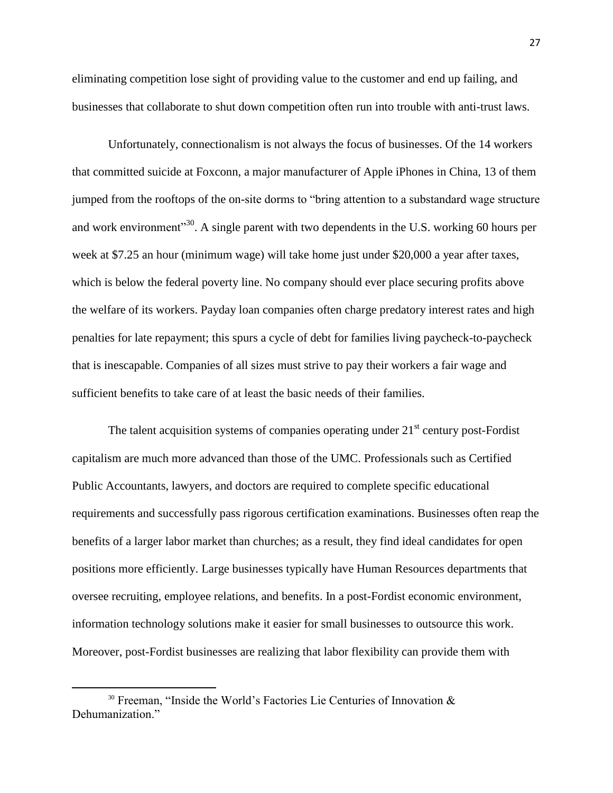eliminating competition lose sight of providing value to the customer and end up failing, and businesses that collaborate to shut down competition often run into trouble with anti-trust laws.

Unfortunately, connectionalism is not always the focus of businesses. Of the 14 workers that committed suicide at Foxconn, a major manufacturer of Apple iPhones in China, 13 of them jumped from the rooftops of the on-site dorms to "bring attention to a substandard wage structure and work environment"<sup>30</sup>. A single parent with two dependents in the U.S. working 60 hours per week at \$7.25 an hour (minimum wage) will take home just under \$20,000 a year after taxes, which is below the federal poverty line. No company should ever place securing profits above the welfare of its workers. Payday loan companies often charge predatory interest rates and high penalties for late repayment; this spurs a cycle of debt for families living paycheck-to-paycheck that is inescapable. Companies of all sizes must strive to pay their workers a fair wage and sufficient benefits to take care of at least the basic needs of their families.

The talent acquisition systems of companies operating under  $21<sup>st</sup>$  century post-Fordist capitalism are much more advanced than those of the UMC. Professionals such as Certified Public Accountants, lawyers, and doctors are required to complete specific educational requirements and successfully pass rigorous certification examinations. Businesses often reap the benefits of a larger labor market than churches; as a result, they find ideal candidates for open positions more efficiently. Large businesses typically have Human Resources departments that oversee recruiting, employee relations, and benefits. In a post-Fordist economic environment, information technology solutions make it easier for small businesses to outsource this work. Moreover, post-Fordist businesses are realizing that labor flexibility can provide them with

<sup>&</sup>lt;sup>30</sup> Freeman, "Inside the World's Factories Lie Centuries of Innovation & Dehumanization."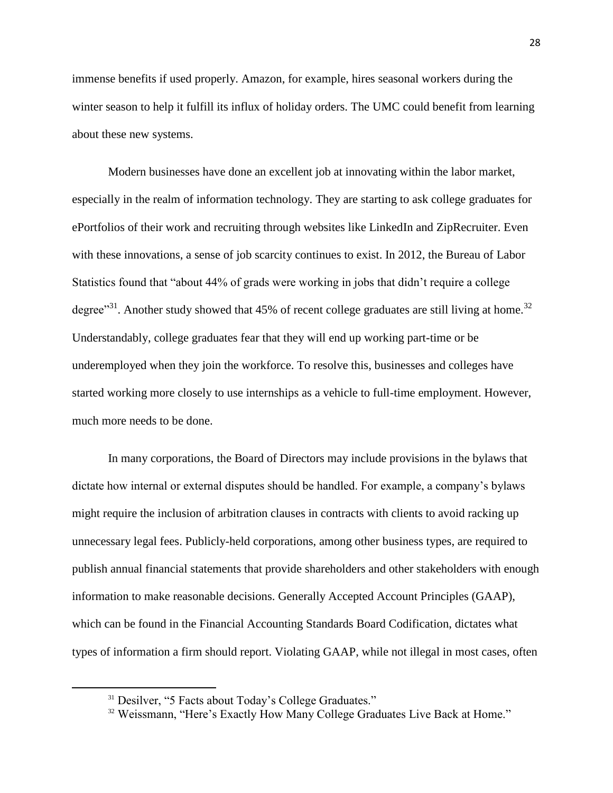immense benefits if used properly. Amazon, for example, hires seasonal workers during the winter season to help it fulfill its influx of holiday orders. The UMC could benefit from learning about these new systems.

Modern businesses have done an excellent job at innovating within the labor market, especially in the realm of information technology. They are starting to ask college graduates for ePortfolios of their work and recruiting through websites like LinkedIn and ZipRecruiter. Even with these innovations, a sense of job scarcity continues to exist. In 2012, the Bureau of Labor Statistics found that "about 44% of grads were working in jobs that didn't require a college degree"<sup>31</sup>. Another study showed that 45% of recent college graduates are still living at home.<sup>32</sup> Understandably, college graduates fear that they will end up working part-time or be underemployed when they join the workforce. To resolve this, businesses and colleges have started working more closely to use internships as a vehicle to full-time employment. However, much more needs to be done.

In many corporations, the Board of Directors may include provisions in the bylaws that dictate how internal or external disputes should be handled. For example, a company's bylaws might require the inclusion of arbitration clauses in contracts with clients to avoid racking up unnecessary legal fees. Publicly-held corporations, among other business types, are required to publish annual financial statements that provide shareholders and other stakeholders with enough information to make reasonable decisions. Generally Accepted Account Principles (GAAP), which can be found in the Financial Accounting Standards Board Codification, dictates what types of information a firm should report. Violating GAAP, while not illegal in most cases, often

<sup>&</sup>lt;sup>31</sup> Desilver, "5 Facts about Today's College Graduates."

<sup>&</sup>lt;sup>32</sup> Weissmann, "Here's Exactly How Many College Graduates Live Back at Home."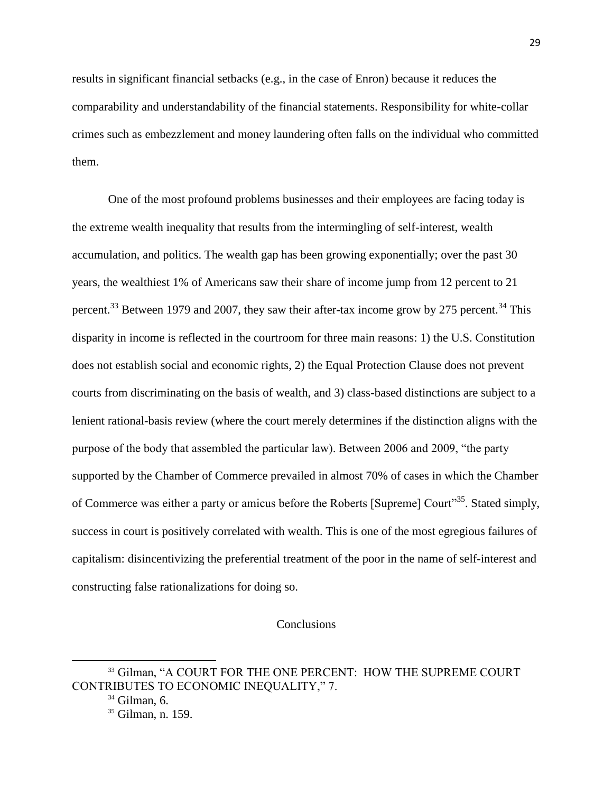results in significant financial setbacks (e.g., in the case of Enron) because it reduces the comparability and understandability of the financial statements. Responsibility for white-collar crimes such as embezzlement and money laundering often falls on the individual who committed them.

One of the most profound problems businesses and their employees are facing today is the extreme wealth inequality that results from the intermingling of self-interest, wealth accumulation, and politics. The wealth gap has been growing exponentially; over the past 30 years, the wealthiest 1% of Americans saw their share of income jump from 12 percent to 21 percent.<sup>33</sup> Between 1979 and 2007, they saw their after-tax income grow by 275 percent.<sup>34</sup> This disparity in income is reflected in the courtroom for three main reasons: 1) the U.S. Constitution does not establish social and economic rights, 2) the Equal Protection Clause does not prevent courts from discriminating on the basis of wealth, and 3) class-based distinctions are subject to a lenient rational-basis review (where the court merely determines if the distinction aligns with the purpose of the body that assembled the particular law). Between 2006 and 2009, "the party supported by the Chamber of Commerce prevailed in almost 70% of cases in which the Chamber of Commerce was either a party or amicus before the Roberts [Supreme] Court"<sup>35</sup>. Stated simply, success in court is positively correlated with wealth. This is one of the most egregious failures of capitalism: disincentivizing the preferential treatment of the poor in the name of self-interest and constructing false rationalizations for doing so.

## **Conclusions**

 $\overline{a}$ 

<sup>&</sup>lt;sup>33</sup> Gilman, "A COURT FOR THE ONE PERCENT: HOW THE SUPREME COURT CONTRIBUTES TO ECONOMIC INEQUALITY," 7.

 $34$  Gilman, 6.

<sup>&</sup>lt;sup>35</sup> Gilman, n. 159.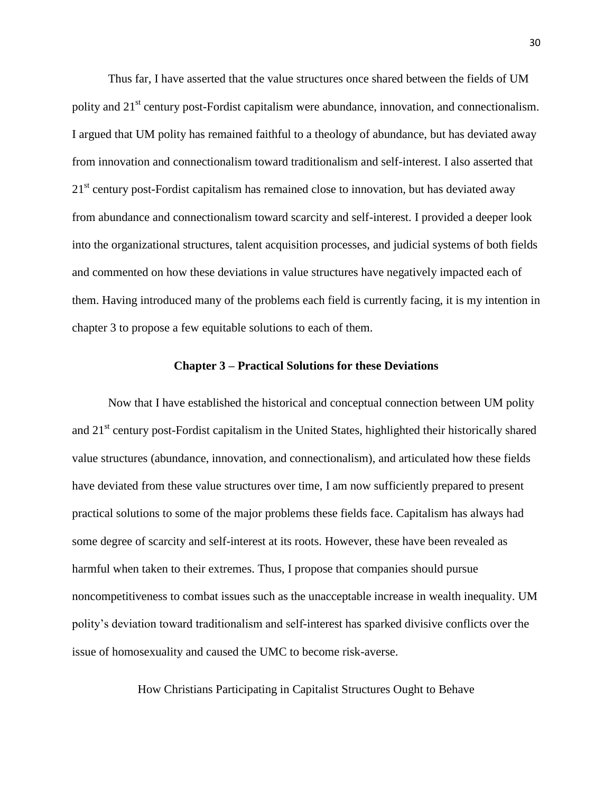Thus far, I have asserted that the value structures once shared between the fields of UM polity and 21<sup>st</sup> century post-Fordist capitalism were abundance, innovation, and connectionalism. I argued that UM polity has remained faithful to a theology of abundance, but has deviated away from innovation and connectionalism toward traditionalism and self-interest. I also asserted that 21<sup>st</sup> century post-Fordist capitalism has remained close to innovation, but has deviated away from abundance and connectionalism toward scarcity and self-interest. I provided a deeper look into the organizational structures, talent acquisition processes, and judicial systems of both fields and commented on how these deviations in value structures have negatively impacted each of them. Having introduced many of the problems each field is currently facing, it is my intention in chapter 3 to propose a few equitable solutions to each of them.

#### **Chapter 3 – Practical Solutions for these Deviations**

Now that I have established the historical and conceptual connection between UM polity and 21<sup>st</sup> century post-Fordist capitalism in the United States, highlighted their historically shared value structures (abundance, innovation, and connectionalism), and articulated how these fields have deviated from these value structures over time, I am now sufficiently prepared to present practical solutions to some of the major problems these fields face. Capitalism has always had some degree of scarcity and self-interest at its roots. However, these have been revealed as harmful when taken to their extremes. Thus, I propose that companies should pursue noncompetitiveness to combat issues such as the unacceptable increase in wealth inequality. UM polity's deviation toward traditionalism and self-interest has sparked divisive conflicts over the issue of homosexuality and caused the UMC to become risk-averse.

How Christians Participating in Capitalist Structures Ought to Behave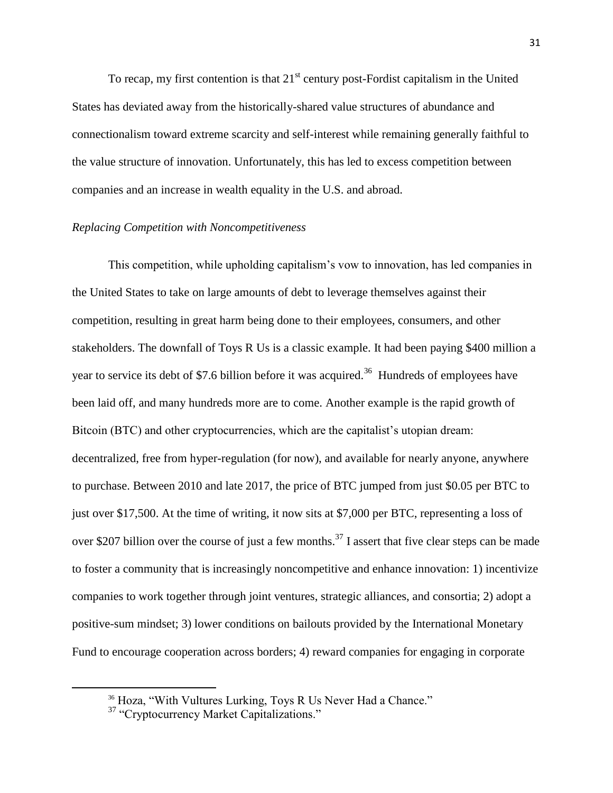To recap, my first contention is that  $21<sup>st</sup>$  century post-Fordist capitalism in the United States has deviated away from the historically-shared value structures of abundance and connectionalism toward extreme scarcity and self-interest while remaining generally faithful to the value structure of innovation. Unfortunately, this has led to excess competition between companies and an increase in wealth equality in the U.S. and abroad.

## *Replacing Competition with Noncompetitiveness*

This competition, while upholding capitalism's vow to innovation, has led companies in the United States to take on large amounts of debt to leverage themselves against their competition, resulting in great harm being done to their employees, consumers, and other stakeholders. The downfall of Toys R Us is a classic example. It had been paying \$400 million a year to service its debt of \$7.6 billion before it was acquired.<sup>36</sup> Hundreds of employees have been laid off, and many hundreds more are to come. Another example is the rapid growth of Bitcoin (BTC) and other cryptocurrencies, which are the capitalist's utopian dream: decentralized, free from hyper-regulation (for now), and available for nearly anyone, anywhere to purchase. Between 2010 and late 2017, the price of BTC jumped from just \$0.05 per BTC to just over \$17,500. At the time of writing, it now sits at \$7,000 per BTC, representing a loss of over \$207 billion over the course of just a few months.<sup>37</sup> I assert that five clear steps can be made to foster a community that is increasingly noncompetitive and enhance innovation: 1) incentivize companies to work together through joint ventures, strategic alliances, and consortia; 2) adopt a positive-sum mindset; 3) lower conditions on bailouts provided by the International Monetary Fund to encourage cooperation across borders; 4) reward companies for engaging in corporate

<sup>&</sup>lt;sup>36</sup> Hoza, "With Vultures Lurking, Toys R Us Never Had a Chance."

<sup>&</sup>lt;sup>37</sup> "Cryptocurrency Market Capitalizations."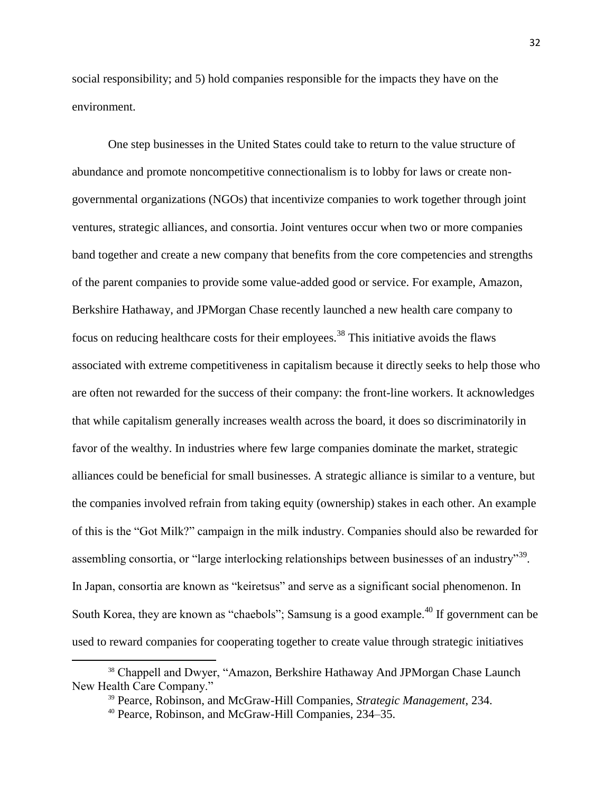social responsibility; and 5) hold companies responsible for the impacts they have on the environment.

One step businesses in the United States could take to return to the value structure of abundance and promote noncompetitive connectionalism is to lobby for laws or create nongovernmental organizations (NGOs) that incentivize companies to work together through joint ventures, strategic alliances, and consortia. Joint ventures occur when two or more companies band together and create a new company that benefits from the core competencies and strengths of the parent companies to provide some value-added good or service. For example, Amazon, Berkshire Hathaway, and JPMorgan Chase recently launched a new health care company to focus on reducing healthcare costs for their employees.<sup>38</sup> This initiative avoids the flaws associated with extreme competitiveness in capitalism because it directly seeks to help those who are often not rewarded for the success of their company: the front-line workers. It acknowledges that while capitalism generally increases wealth across the board, it does so discriminatorily in favor of the wealthy. In industries where few large companies dominate the market, strategic alliances could be beneficial for small businesses. A strategic alliance is similar to a venture, but the companies involved refrain from taking equity (ownership) stakes in each other. An example of this is the "Got Milk?" campaign in the milk industry. Companies should also be rewarded for assembling consortia, or "large interlocking relationships between businesses of an industry"<sup>39</sup>. In Japan, consortia are known as "keiretsus" and serve as a significant social phenomenon. In South Korea, they are known as "chaebols"; Samsung is a good example.<sup>40</sup> If government can be used to reward companies for cooperating together to create value through strategic initiatives

 $\overline{a}$ 

<sup>&</sup>lt;sup>38</sup> Chappell and Dwyer, "Amazon, Berkshire Hathaway And JPMorgan Chase Launch New Health Care Company."

<sup>39</sup> Pearce, Robinson, and McGraw-Hill Companies, *Strategic Management*, 234.

<sup>40</sup> Pearce, Robinson, and McGraw-Hill Companies, 234–35.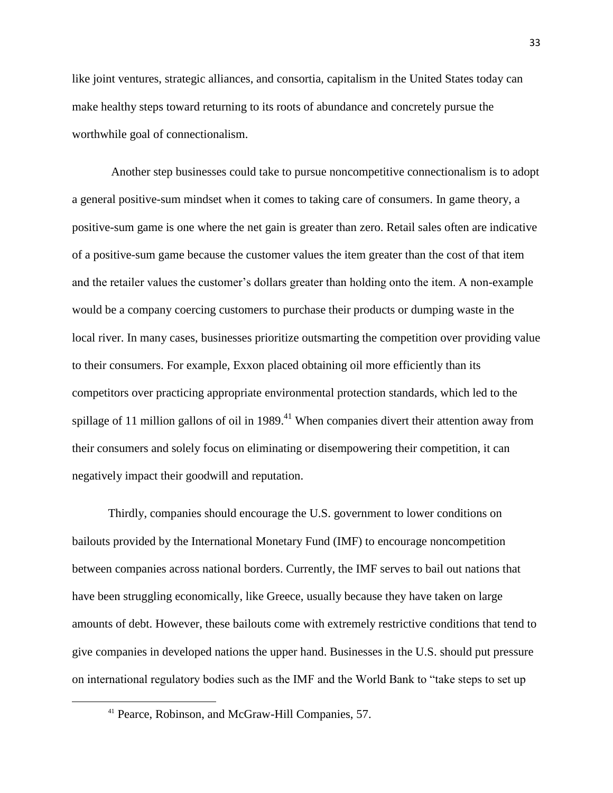like joint ventures, strategic alliances, and consortia, capitalism in the United States today can make healthy steps toward returning to its roots of abundance and concretely pursue the worthwhile goal of connectionalism.

Another step businesses could take to pursue noncompetitive connectionalism is to adopt a general positive-sum mindset when it comes to taking care of consumers. In game theory, a positive-sum game is one where the net gain is greater than zero. Retail sales often are indicative of a positive-sum game because the customer values the item greater than the cost of that item and the retailer values the customer's dollars greater than holding onto the item. A non-example would be a company coercing customers to purchase their products or dumping waste in the local river. In many cases, businesses prioritize outsmarting the competition over providing value to their consumers. For example, Exxon placed obtaining oil more efficiently than its competitors over practicing appropriate environmental protection standards, which led to the spillage of 11 million gallons of oil in  $1989<sup>41</sup>$  When companies divert their attention away from their consumers and solely focus on eliminating or disempowering their competition, it can negatively impact their goodwill and reputation.

Thirdly, companies should encourage the U.S. government to lower conditions on bailouts provided by the International Monetary Fund (IMF) to encourage noncompetition between companies across national borders. Currently, the IMF serves to bail out nations that have been struggling economically, like Greece, usually because they have taken on large amounts of debt. However, these bailouts come with extremely restrictive conditions that tend to give companies in developed nations the upper hand. Businesses in the U.S. should put pressure on international regulatory bodies such as the IMF and the World Bank to "take steps to set up

<sup>41</sup> Pearce, Robinson, and McGraw-Hill Companies, 57.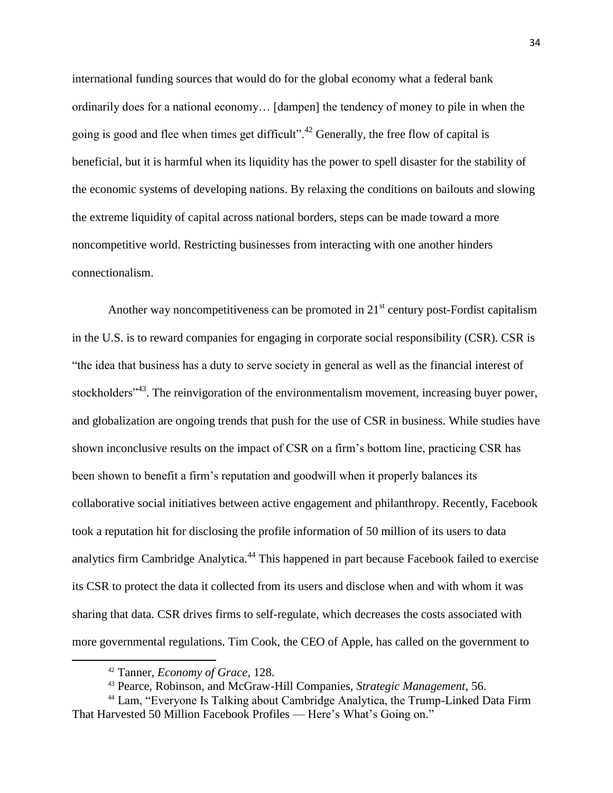international funding sources that would do for the global economy what a federal bank ordinarily does for a national economy… [dampen] the tendency of money to pile in when the going is good and flee when times get difficult".<sup>42</sup> Generally, the free flow of capital is beneficial, but it is harmful when its liquidity has the power to spell disaster for the stability of the economic systems of developing nations. By relaxing the conditions on bailouts and slowing the extreme liquidity of capital across national borders, steps can be made toward a more noncompetitive world. Restricting businesses from interacting with one another hinders connectionalism.

Another way noncompetitiveness can be promoted in  $21<sup>st</sup>$  century post-Fordist capitalism in the U.S. is to reward companies for engaging in corporate social responsibility (CSR). CSR is "the idea that business has a duty to serve society in general as well as the financial interest of stockholders<sup>"43</sup>. The reinvigoration of the environmentalism movement, increasing buyer power, and globalization are ongoing trends that push for the use of CSR in business. While studies have shown inconclusive results on the impact of CSR on a firm's bottom line, practicing CSR has been shown to benefit a firm's reputation and goodwill when it properly balances its collaborative social initiatives between active engagement and philanthropy. Recently, Facebook took a reputation hit for disclosing the profile information of 50 million of its users to data analytics firm Cambridge Analytica.<sup>44</sup> This happened in part because Facebook failed to exercise its CSR to protect the data it collected from its users and disclose when and with whom it was sharing that data. CSR drives firms to self-regulate, which decreases the costs associated with more governmental regulations. Tim Cook, the CEO of Apple, has called on the government to

 $\overline{a}$ 

<sup>42</sup> Tanner, *Economy of Grace*, 128.

<sup>43</sup> Pearce, Robinson, and McGraw-Hill Companies, *Strategic Management*, 56.

<sup>44</sup> Lam, "Everyone Is Talking about Cambridge Analytica, the Trump-Linked Data Firm That Harvested 50 Million Facebook Profiles — Here's What's Going on."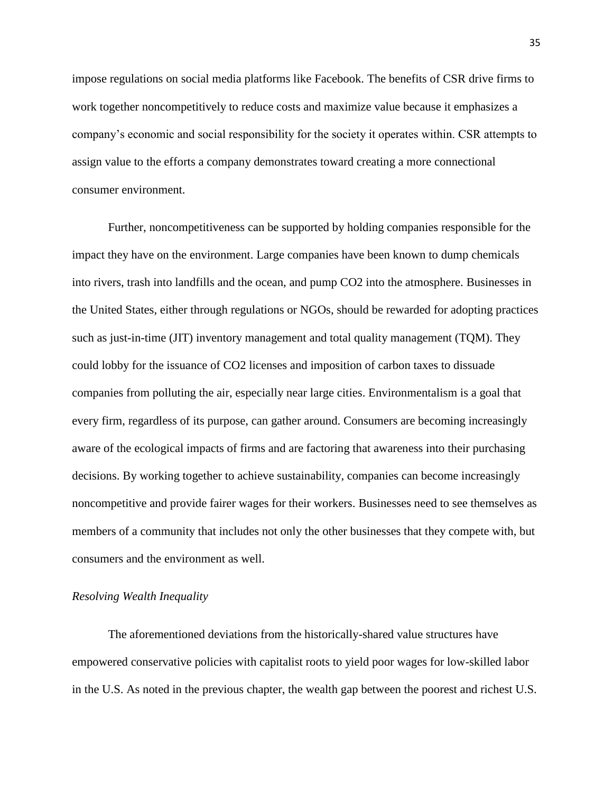impose regulations on social media platforms like Facebook. The benefits of CSR drive firms to work together noncompetitively to reduce costs and maximize value because it emphasizes a company's economic and social responsibility for the society it operates within. CSR attempts to assign value to the efforts a company demonstrates toward creating a more connectional consumer environment.

Further, noncompetitiveness can be supported by holding companies responsible for the impact they have on the environment. Large companies have been known to dump chemicals into rivers, trash into landfills and the ocean, and pump CO2 into the atmosphere. Businesses in the United States, either through regulations or NGOs, should be rewarded for adopting practices such as just-in-time (JIT) inventory management and total quality management (TQM). They could lobby for the issuance of CO2 licenses and imposition of carbon taxes to dissuade companies from polluting the air, especially near large cities. Environmentalism is a goal that every firm, regardless of its purpose, can gather around. Consumers are becoming increasingly aware of the ecological impacts of firms and are factoring that awareness into their purchasing decisions. By working together to achieve sustainability, companies can become increasingly noncompetitive and provide fairer wages for their workers. Businesses need to see themselves as members of a community that includes not only the other businesses that they compete with, but consumers and the environment as well.

#### *Resolving Wealth Inequality*

The aforementioned deviations from the historically-shared value structures have empowered conservative policies with capitalist roots to yield poor wages for low-skilled labor in the U.S. As noted in the previous chapter, the wealth gap between the poorest and richest U.S.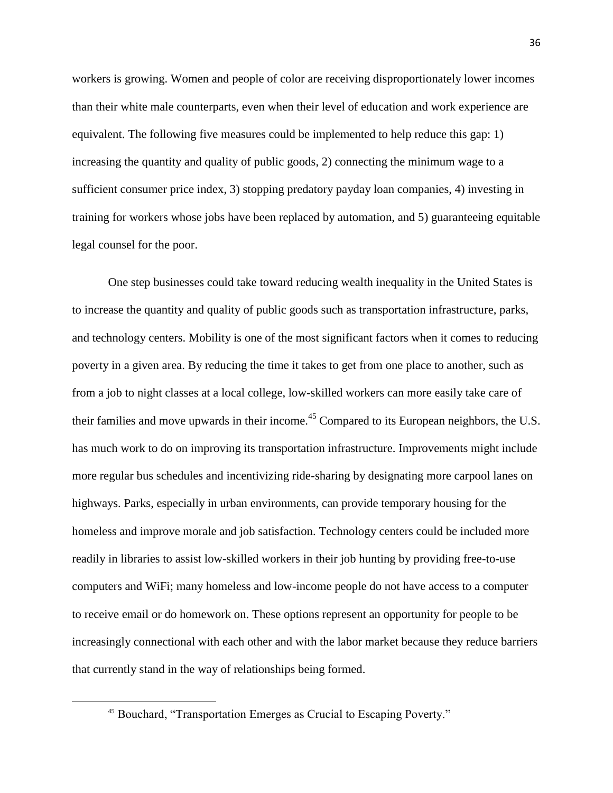workers is growing. Women and people of color are receiving disproportionately lower incomes than their white male counterparts, even when their level of education and work experience are equivalent. The following five measures could be implemented to help reduce this gap: 1) increasing the quantity and quality of public goods, 2) connecting the minimum wage to a sufficient consumer price index, 3) stopping predatory payday loan companies, 4) investing in training for workers whose jobs have been replaced by automation, and 5) guaranteeing equitable legal counsel for the poor.

One step businesses could take toward reducing wealth inequality in the United States is to increase the quantity and quality of public goods such as transportation infrastructure, parks, and technology centers. Mobility is one of the most significant factors when it comes to reducing poverty in a given area. By reducing the time it takes to get from one place to another, such as from a job to night classes at a local college, low-skilled workers can more easily take care of their families and move upwards in their income.<sup>45</sup> Compared to its European neighbors, the U.S. has much work to do on improving its transportation infrastructure. Improvements might include more regular bus schedules and incentivizing ride-sharing by designating more carpool lanes on highways. Parks, especially in urban environments, can provide temporary housing for the homeless and improve morale and job satisfaction. Technology centers could be included more readily in libraries to assist low-skilled workers in their job hunting by providing free-to-use computers and WiFi; many homeless and low-income people do not have access to a computer to receive email or do homework on. These options represent an opportunity for people to be increasingly connectional with each other and with the labor market because they reduce barriers that currently stand in the way of relationships being formed.

<sup>45</sup> Bouchard, "Transportation Emerges as Crucial to Escaping Poverty."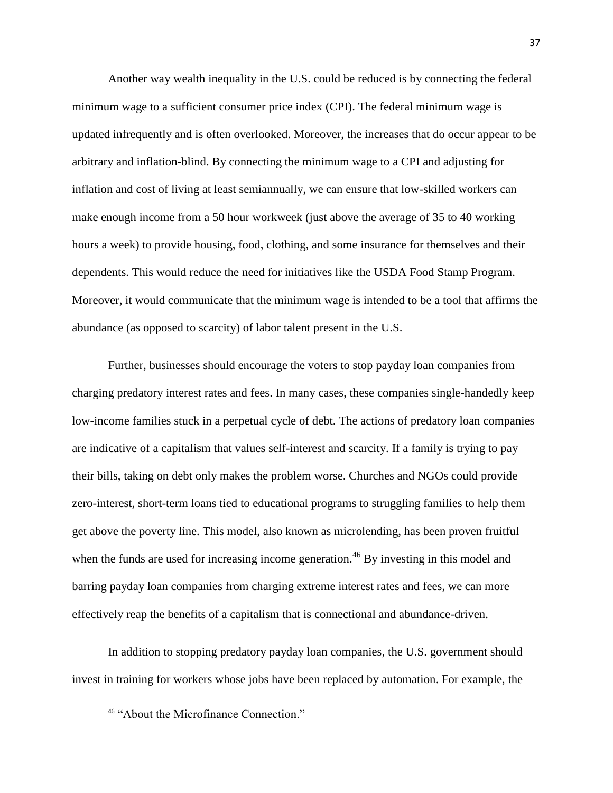Another way wealth inequality in the U.S. could be reduced is by connecting the federal minimum wage to a sufficient consumer price index (CPI). The federal minimum wage is updated infrequently and is often overlooked. Moreover, the increases that do occur appear to be arbitrary and inflation-blind. By connecting the minimum wage to a CPI and adjusting for inflation and cost of living at least semiannually, we can ensure that low-skilled workers can make enough income from a 50 hour workweek (just above the average of 35 to 40 working hours a week) to provide housing, food, clothing, and some insurance for themselves and their dependents. This would reduce the need for initiatives like the USDA Food Stamp Program. Moreover, it would communicate that the minimum wage is intended to be a tool that affirms the abundance (as opposed to scarcity) of labor talent present in the U.S.

Further, businesses should encourage the voters to stop payday loan companies from charging predatory interest rates and fees. In many cases, these companies single-handedly keep low-income families stuck in a perpetual cycle of debt. The actions of predatory loan companies are indicative of a capitalism that values self-interest and scarcity. If a family is trying to pay their bills, taking on debt only makes the problem worse. Churches and NGOs could provide zero-interest, short-term loans tied to educational programs to struggling families to help them get above the poverty line. This model, also known as microlending, has been proven fruitful when the funds are used for increasing income generation.<sup>46</sup> By investing in this model and barring payday loan companies from charging extreme interest rates and fees, we can more effectively reap the benefits of a capitalism that is connectional and abundance-driven.

In addition to stopping predatory payday loan companies, the U.S. government should invest in training for workers whose jobs have been replaced by automation. For example, the

<sup>&</sup>lt;sup>46</sup> "About the Microfinance Connection."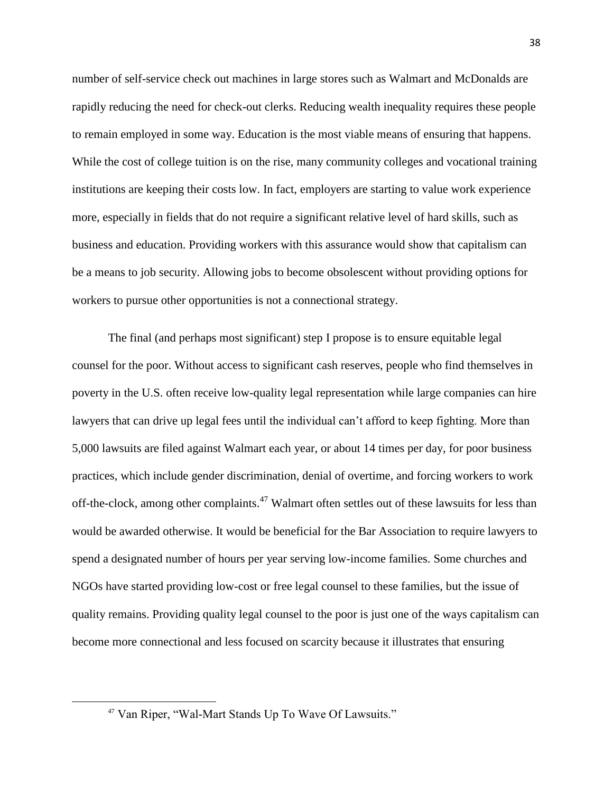number of self-service check out machines in large stores such as Walmart and McDonalds are rapidly reducing the need for check-out clerks. Reducing wealth inequality requires these people to remain employed in some way. Education is the most viable means of ensuring that happens. While the cost of college tuition is on the rise, many community colleges and vocational training institutions are keeping their costs low. In fact, employers are starting to value work experience more, especially in fields that do not require a significant relative level of hard skills, such as business and education. Providing workers with this assurance would show that capitalism can be a means to job security. Allowing jobs to become obsolescent without providing options for workers to pursue other opportunities is not a connectional strategy.

The final (and perhaps most significant) step I propose is to ensure equitable legal counsel for the poor. Without access to significant cash reserves, people who find themselves in poverty in the U.S. often receive low-quality legal representation while large companies can hire lawyers that can drive up legal fees until the individual can't afford to keep fighting. More than 5,000 lawsuits are filed against Walmart each year, or about 14 times per day, for poor business practices, which include gender discrimination, denial of overtime, and forcing workers to work off-the-clock, among other complaints.<sup>47</sup> Walmart often settles out of these lawsuits for less than would be awarded otherwise. It would be beneficial for the Bar Association to require lawyers to spend a designated number of hours per year serving low-income families. Some churches and NGOs have started providing low-cost or free legal counsel to these families, but the issue of quality remains. Providing quality legal counsel to the poor is just one of the ways capitalism can become more connectional and less focused on scarcity because it illustrates that ensuring

<sup>47</sup> Van Riper, "Wal-Mart Stands Up To Wave Of Lawsuits."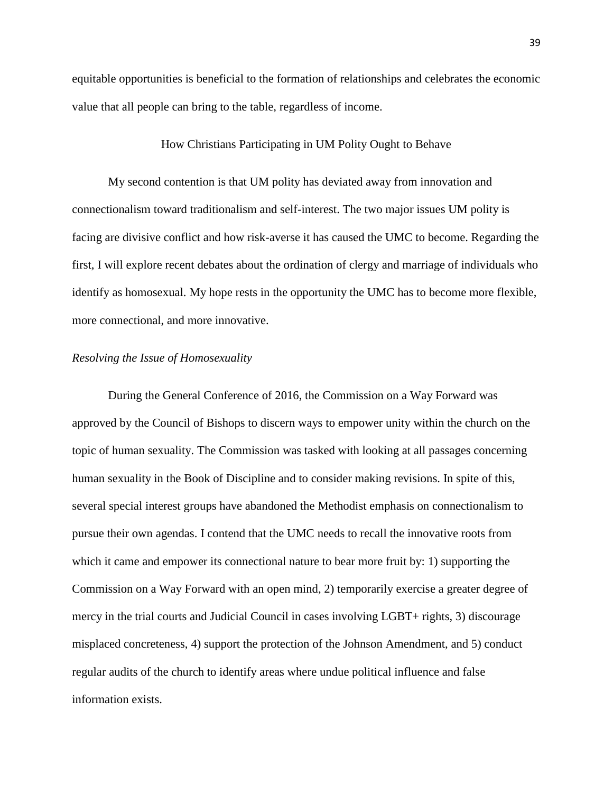equitable opportunities is beneficial to the formation of relationships and celebrates the economic value that all people can bring to the table, regardless of income.

## How Christians Participating in UM Polity Ought to Behave

My second contention is that UM polity has deviated away from innovation and connectionalism toward traditionalism and self-interest. The two major issues UM polity is facing are divisive conflict and how risk-averse it has caused the UMC to become. Regarding the first, I will explore recent debates about the ordination of clergy and marriage of individuals who identify as homosexual. My hope rests in the opportunity the UMC has to become more flexible, more connectional, and more innovative.

## *Resolving the Issue of Homosexuality*

During the General Conference of 2016, the Commission on a Way Forward was approved by the Council of Bishops to discern ways to empower unity within the church on the topic of human sexuality. The Commission was tasked with looking at all passages concerning human sexuality in the Book of Discipline and to consider making revisions. In spite of this, several special interest groups have abandoned the Methodist emphasis on connectionalism to pursue their own agendas. I contend that the UMC needs to recall the innovative roots from which it came and empower its connectional nature to bear more fruit by: 1) supporting the Commission on a Way Forward with an open mind, 2) temporarily exercise a greater degree of mercy in the trial courts and Judicial Council in cases involving LGBT+ rights, 3) discourage misplaced concreteness, 4) support the protection of the Johnson Amendment, and 5) conduct regular audits of the church to identify areas where undue political influence and false information exists.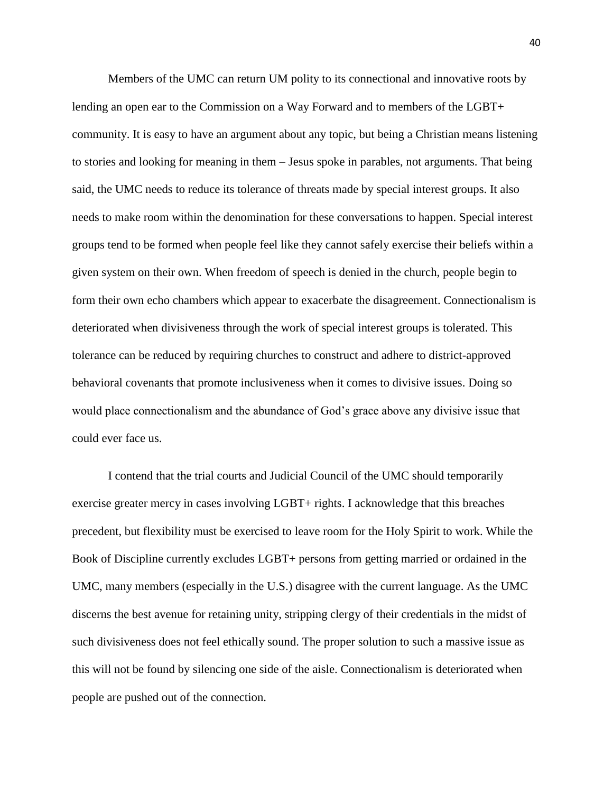Members of the UMC can return UM polity to its connectional and innovative roots by lending an open ear to the Commission on a Way Forward and to members of the LGBT+ community. It is easy to have an argument about any topic, but being a Christian means listening to stories and looking for meaning in them – Jesus spoke in parables, not arguments. That being said, the UMC needs to reduce its tolerance of threats made by special interest groups. It also needs to make room within the denomination for these conversations to happen. Special interest groups tend to be formed when people feel like they cannot safely exercise their beliefs within a given system on their own. When freedom of speech is denied in the church, people begin to form their own echo chambers which appear to exacerbate the disagreement. Connectionalism is deteriorated when divisiveness through the work of special interest groups is tolerated. This tolerance can be reduced by requiring churches to construct and adhere to district-approved behavioral covenants that promote inclusiveness when it comes to divisive issues. Doing so would place connectionalism and the abundance of God's grace above any divisive issue that could ever face us.

I contend that the trial courts and Judicial Council of the UMC should temporarily exercise greater mercy in cases involving LGBT+ rights. I acknowledge that this breaches precedent, but flexibility must be exercised to leave room for the Holy Spirit to work. While the Book of Discipline currently excludes LGBT+ persons from getting married or ordained in the UMC, many members (especially in the U.S.) disagree with the current language. As the UMC discerns the best avenue for retaining unity, stripping clergy of their credentials in the midst of such divisiveness does not feel ethically sound. The proper solution to such a massive issue as this will not be found by silencing one side of the aisle. Connectionalism is deteriorated when people are pushed out of the connection.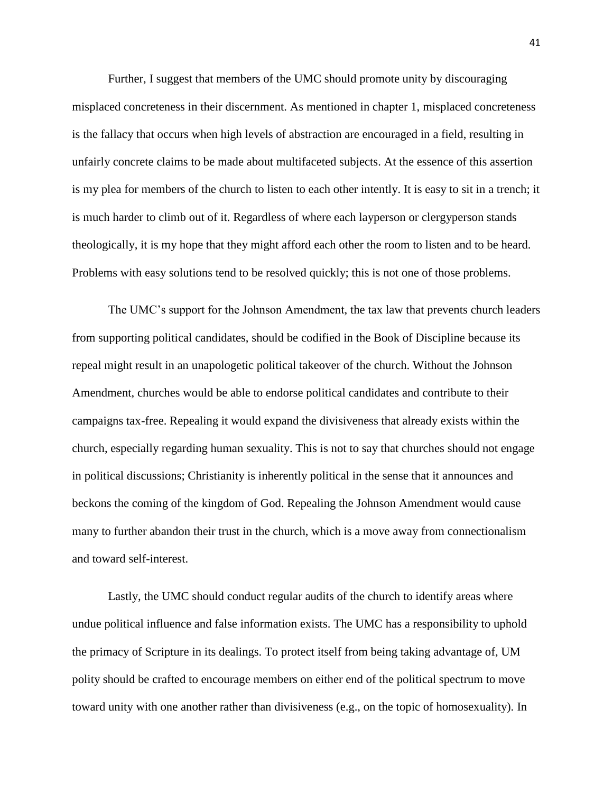Further, I suggest that members of the UMC should promote unity by discouraging misplaced concreteness in their discernment. As mentioned in chapter 1, misplaced concreteness is the fallacy that occurs when high levels of abstraction are encouraged in a field, resulting in unfairly concrete claims to be made about multifaceted subjects. At the essence of this assertion is my plea for members of the church to listen to each other intently. It is easy to sit in a trench; it is much harder to climb out of it. Regardless of where each layperson or clergyperson stands theologically, it is my hope that they might afford each other the room to listen and to be heard. Problems with easy solutions tend to be resolved quickly; this is not one of those problems.

The UMC's support for the Johnson Amendment, the tax law that prevents church leaders from supporting political candidates, should be codified in the Book of Discipline because its repeal might result in an unapologetic political takeover of the church. Without the Johnson Amendment, churches would be able to endorse political candidates and contribute to their campaigns tax-free. Repealing it would expand the divisiveness that already exists within the church, especially regarding human sexuality. This is not to say that churches should not engage in political discussions; Christianity is inherently political in the sense that it announces and beckons the coming of the kingdom of God. Repealing the Johnson Amendment would cause many to further abandon their trust in the church, which is a move away from connectionalism and toward self-interest.

Lastly, the UMC should conduct regular audits of the church to identify areas where undue political influence and false information exists. The UMC has a responsibility to uphold the primacy of Scripture in its dealings. To protect itself from being taking advantage of, UM polity should be crafted to encourage members on either end of the political spectrum to move toward unity with one another rather than divisiveness (e.g., on the topic of homosexuality). In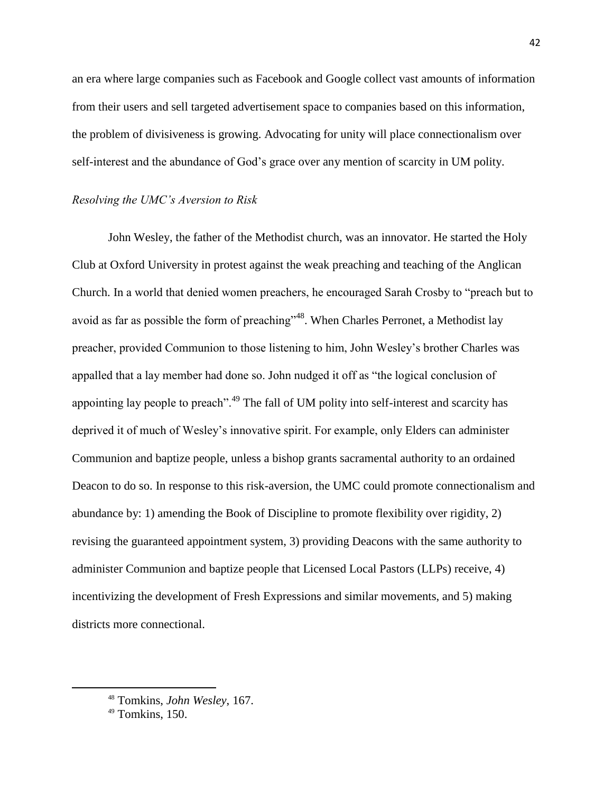an era where large companies such as Facebook and Google collect vast amounts of information from their users and sell targeted advertisement space to companies based on this information, the problem of divisiveness is growing. Advocating for unity will place connectionalism over self-interest and the abundance of God's grace over any mention of scarcity in UM polity.

## *Resolving the UMC's Aversion to Risk*

John Wesley, the father of the Methodist church, was an innovator. He started the Holy Club at Oxford University in protest against the weak preaching and teaching of the Anglican Church. In a world that denied women preachers, he encouraged Sarah Crosby to "preach but to avoid as far as possible the form of preaching"<sup>48</sup>. When Charles Perronet, a Methodist lay preacher, provided Communion to those listening to him, John Wesley's brother Charles was appalled that a lay member had done so. John nudged it off as "the logical conclusion of appointing lay people to preach".<sup>49</sup> The fall of UM polity into self-interest and scarcity has deprived it of much of Wesley's innovative spirit. For example, only Elders can administer Communion and baptize people, unless a bishop grants sacramental authority to an ordained Deacon to do so. In response to this risk-aversion, the UMC could promote connectionalism and abundance by: 1) amending the Book of Discipline to promote flexibility over rigidity, 2) revising the guaranteed appointment system, 3) providing Deacons with the same authority to administer Communion and baptize people that Licensed Local Pastors (LLPs) receive, 4) incentivizing the development of Fresh Expressions and similar movements, and 5) making districts more connectional.

<sup>48</sup> Tomkins, *John Wesley*, 167.

<sup>&</sup>lt;sup>49</sup> Tomkins, 150.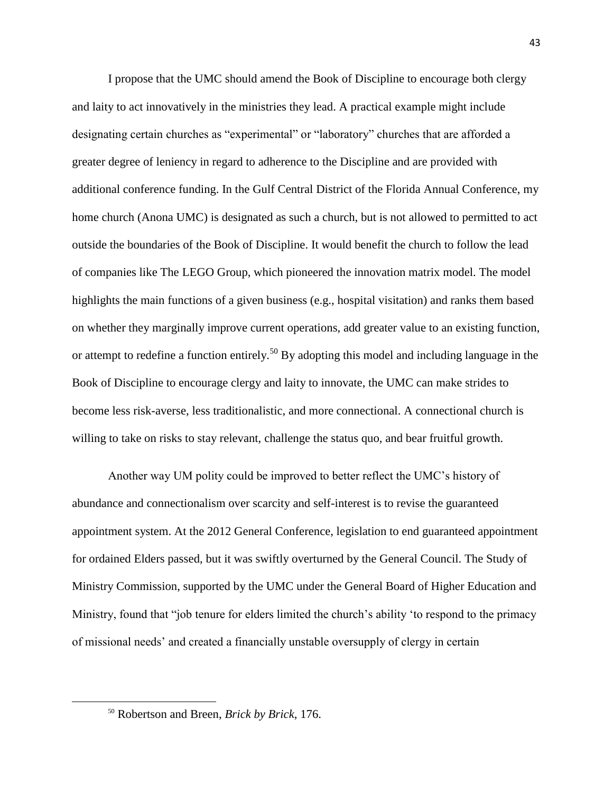I propose that the UMC should amend the Book of Discipline to encourage both clergy and laity to act innovatively in the ministries they lead. A practical example might include designating certain churches as "experimental" or "laboratory" churches that are afforded a greater degree of leniency in regard to adherence to the Discipline and are provided with additional conference funding. In the Gulf Central District of the Florida Annual Conference, my home church (Anona UMC) is designated as such a church, but is not allowed to permitted to act outside the boundaries of the Book of Discipline. It would benefit the church to follow the lead of companies like The LEGO Group, which pioneered the innovation matrix model. The model highlights the main functions of a given business (e.g., hospital visitation) and ranks them based on whether they marginally improve current operations, add greater value to an existing function, or attempt to redefine a function entirely.<sup>50</sup> By adopting this model and including language in the Book of Discipline to encourage clergy and laity to innovate, the UMC can make strides to become less risk-averse, less traditionalistic, and more connectional. A connectional church is willing to take on risks to stay relevant, challenge the status quo, and bear fruitful growth.

Another way UM polity could be improved to better reflect the UMC's history of abundance and connectionalism over scarcity and self-interest is to revise the guaranteed appointment system. At the 2012 General Conference, legislation to end guaranteed appointment for ordained Elders passed, but it was swiftly overturned by the General Council. The Study of Ministry Commission, supported by the UMC under the General Board of Higher Education and Ministry, found that "job tenure for elders limited the church's ability 'to respond to the primacy of missional needs' and created a financially unstable oversupply of clergy in certain

<sup>50</sup> Robertson and Breen, *Brick by Brick*, 176.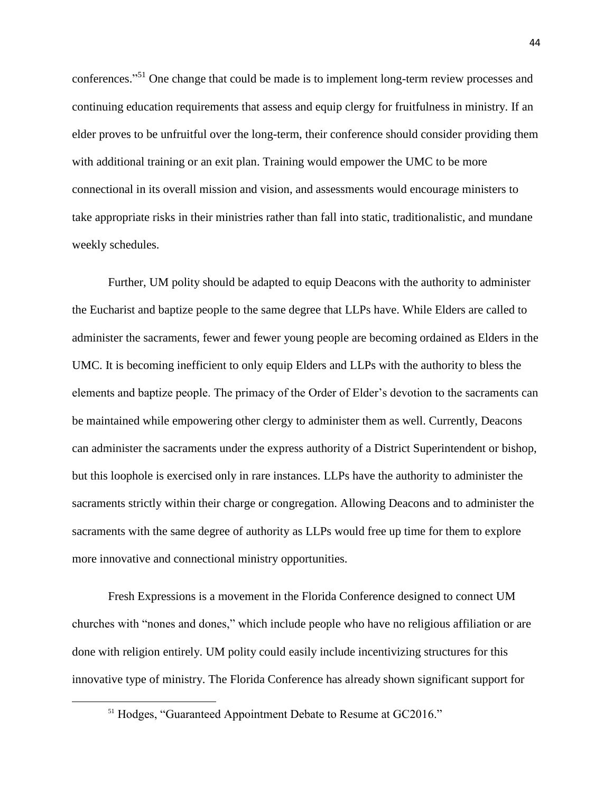conferences."<sup>51</sup> One change that could be made is to implement long-term review processes and continuing education requirements that assess and equip clergy for fruitfulness in ministry. If an elder proves to be unfruitful over the long-term, their conference should consider providing them with additional training or an exit plan. Training would empower the UMC to be more connectional in its overall mission and vision, and assessments would encourage ministers to take appropriate risks in their ministries rather than fall into static, traditionalistic, and mundane weekly schedules.

Further, UM polity should be adapted to equip Deacons with the authority to administer the Eucharist and baptize people to the same degree that LLPs have. While Elders are called to administer the sacraments, fewer and fewer young people are becoming ordained as Elders in the UMC. It is becoming inefficient to only equip Elders and LLPs with the authority to bless the elements and baptize people. The primacy of the Order of Elder's devotion to the sacraments can be maintained while empowering other clergy to administer them as well. Currently, Deacons can administer the sacraments under the express authority of a District Superintendent or bishop, but this loophole is exercised only in rare instances. LLPs have the authority to administer the sacraments strictly within their charge or congregation. Allowing Deacons and to administer the sacraments with the same degree of authority as LLPs would free up time for them to explore more innovative and connectional ministry opportunities.

Fresh Expressions is a movement in the Florida Conference designed to connect UM churches with "nones and dones," which include people who have no religious affiliation or are done with religion entirely. UM polity could easily include incentivizing structures for this innovative type of ministry. The Florida Conference has already shown significant support for

<sup>&</sup>lt;sup>51</sup> Hodges, "Guaranteed Appointment Debate to Resume at GC2016."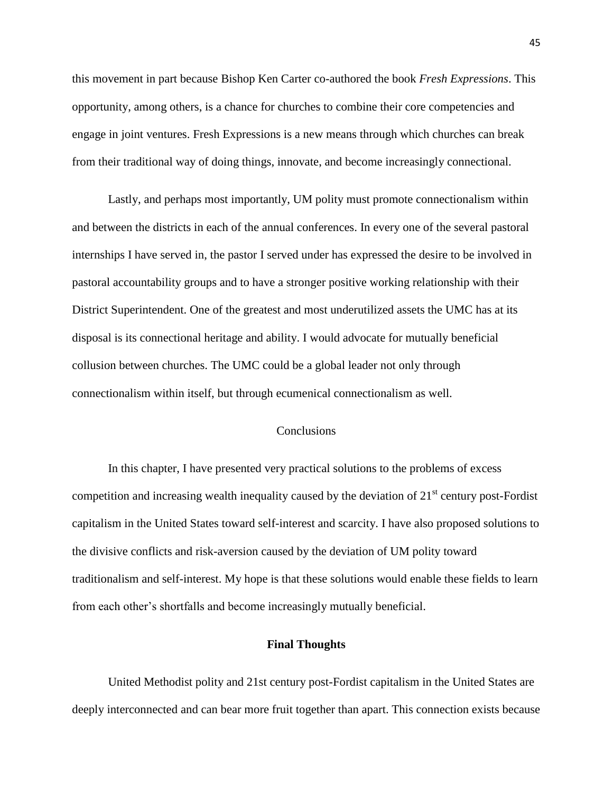this movement in part because Bishop Ken Carter co-authored the book *Fresh Expressions*. This opportunity, among others, is a chance for churches to combine their core competencies and engage in joint ventures. Fresh Expressions is a new means through which churches can break from their traditional way of doing things, innovate, and become increasingly connectional.

Lastly, and perhaps most importantly, UM polity must promote connectionalism within and between the districts in each of the annual conferences. In every one of the several pastoral internships I have served in, the pastor I served under has expressed the desire to be involved in pastoral accountability groups and to have a stronger positive working relationship with their District Superintendent. One of the greatest and most underutilized assets the UMC has at its disposal is its connectional heritage and ability. I would advocate for mutually beneficial collusion between churches. The UMC could be a global leader not only through connectionalism within itself, but through ecumenical connectionalism as well.

## **Conclusions**

In this chapter, I have presented very practical solutions to the problems of excess competition and increasing wealth inequality caused by the deviation of  $21<sup>st</sup>$  century post-Fordist capitalism in the United States toward self-interest and scarcity. I have also proposed solutions to the divisive conflicts and risk-aversion caused by the deviation of UM polity toward traditionalism and self-interest. My hope is that these solutions would enable these fields to learn from each other's shortfalls and become increasingly mutually beneficial.

## **Final Thoughts**

United Methodist polity and 21st century post-Fordist capitalism in the United States are deeply interconnected and can bear more fruit together than apart. This connection exists because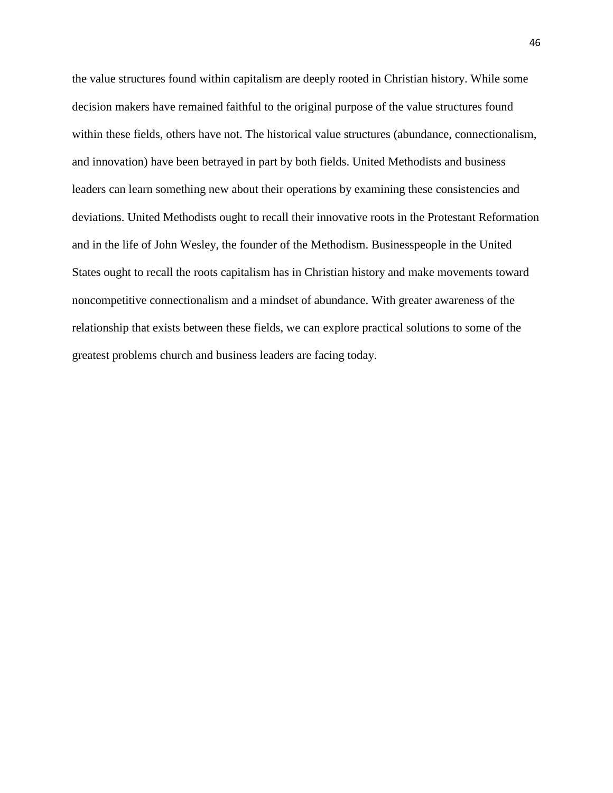the value structures found within capitalism are deeply rooted in Christian history. While some decision makers have remained faithful to the original purpose of the value structures found within these fields, others have not. The historical value structures (abundance, connectionalism, and innovation) have been betrayed in part by both fields. United Methodists and business leaders can learn something new about their operations by examining these consistencies and deviations. United Methodists ought to recall their innovative roots in the Protestant Reformation and in the life of John Wesley, the founder of the Methodism. Businesspeople in the United States ought to recall the roots capitalism has in Christian history and make movements toward noncompetitive connectionalism and a mindset of abundance. With greater awareness of the relationship that exists between these fields, we can explore practical solutions to some of the greatest problems church and business leaders are facing today.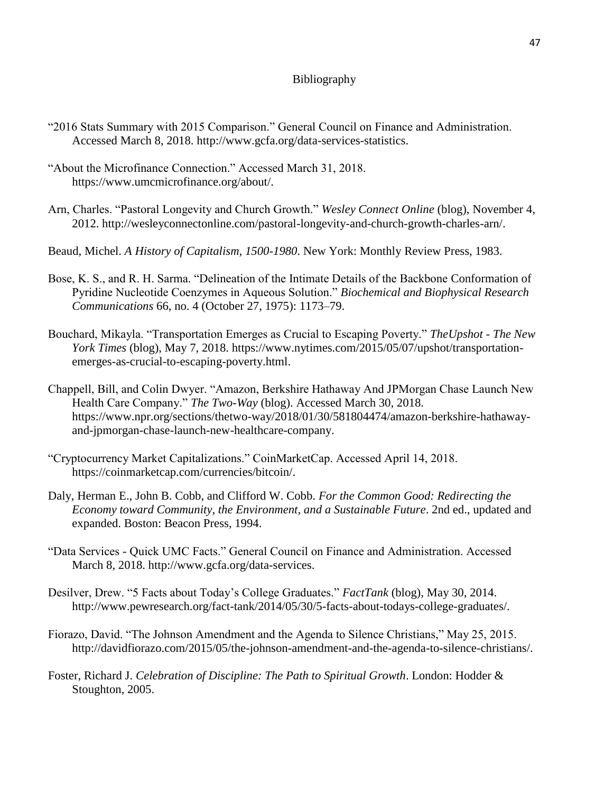# Bibliography

- "2016 Stats Summary with 2015 Comparison." General Council on Finance and Administration. Accessed March 8, 2018. http://www.gcfa.org/data-services-statistics.
- "About the Microfinance Connection." Accessed March 31, 2018. https://www.umcmicrofinance.org/about/.
- Arn, Charles. "Pastoral Longevity and Church Growth." *Wesley Connect Online* (blog), November 4, 2012. http://wesleyconnectonline.com/pastoral-longevity-and-church-growth-charles-arn/.
- Beaud, Michel. *A History of Capitalism, 1500-1980*. New York: Monthly Review Press, 1983.
- Bose, K. S., and R. H. Sarma. "Delineation of the Intimate Details of the Backbone Conformation of Pyridine Nucleotide Coenzymes in Aqueous Solution." *Biochemical and Biophysical Research Communications* 66, no. 4 (October 27, 1975): 1173–79.
- Bouchard, Mikayla. "Transportation Emerges as Crucial to Escaping Poverty." *TheUpshot - The New York Times* (blog), May 7, 2018. https://www.nytimes.com/2015/05/07/upshot/transportationemerges-as-crucial-to-escaping-poverty.html.
- Chappell, Bill, and Colin Dwyer. "Amazon, Berkshire Hathaway And JPMorgan Chase Launch New Health Care Company." *The Two-Way* (blog). Accessed March 30, 2018. https://www.npr.org/sections/thetwo-way/2018/01/30/581804474/amazon-berkshire-hathawayand-jpmorgan-chase-launch-new-healthcare-company.
- "Cryptocurrency Market Capitalizations." CoinMarketCap. Accessed April 14, 2018. https://coinmarketcap.com/currencies/bitcoin/.
- Daly, Herman E., John B. Cobb, and Clifford W. Cobb. *For the Common Good: Redirecting the Economy toward Community, the Environment, and a Sustainable Future*. 2nd ed., updated and expanded. Boston: Beacon Press, 1994.
- "Data Services Quick UMC Facts." General Council on Finance and Administration. Accessed March 8, 2018. http://www.gcfa.org/data-services.
- Desilver, Drew. "5 Facts about Today's College Graduates." *FactTank* (blog), May 30, 2014. http://www.pewresearch.org/fact-tank/2014/05/30/5-facts-about-todays-college-graduates/.
- Fiorazo, David. "The Johnson Amendment and the Agenda to Silence Christians," May 25, 2015. http://davidfiorazo.com/2015/05/the-johnson-amendment-and-the-agenda-to-silence-christians/.
- Foster, Richard J. *Celebration of Discipline: The Path to Spiritual Growth*. London: Hodder & Stoughton, 2005.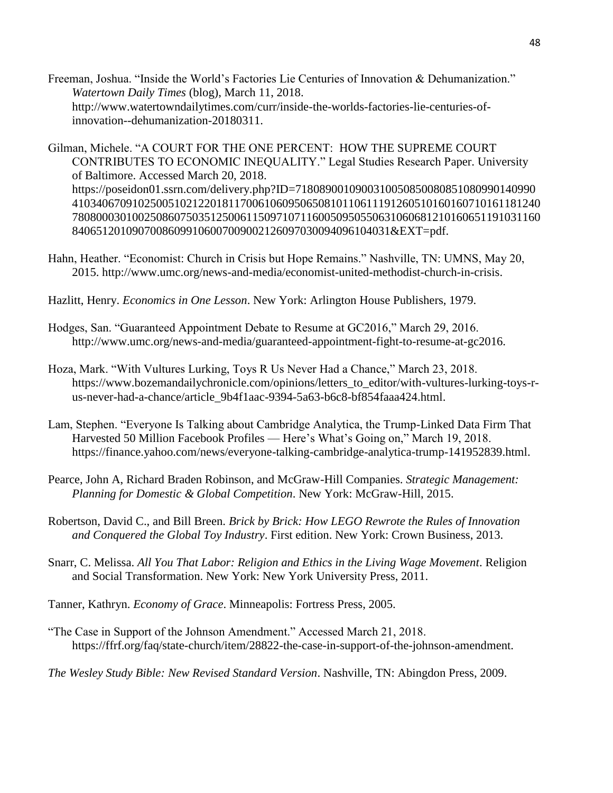Freeman, Joshua. "Inside the World's Factories Lie Centuries of Innovation & Dehumanization." *Watertown Daily Times* (blog), March 11, 2018. http://www.watertowndailytimes.com/curr/inside-the-worlds-factories-lie-centuries-ofinnovation--dehumanization-20180311.

Gilman, Michele. "A COURT FOR THE ONE PERCENT: HOW THE SUPREME COURT CONTRIBUTES TO ECONOMIC INEQUALITY." Legal Studies Research Paper. University of Baltimore. Accessed March 20, 2018. https://poseidon01.ssrn.com/delivery.php?ID=7180890010900310050850080851080990140990 410340670910250051021220181170061060950650810110611191260510160160710161181240 780800030100250860750351250061150971071160050950550631060681210160651191031160 84065120109070086099106007009002126097030094096104031&EXT=pdf.

- Hahn, Heather. "Economist: Church in Crisis but Hope Remains." Nashville, TN: UMNS, May 20, 2015. [http://www.umc.org/news-and-media/economist-united-methodist-church-in-crisis.](http://www.umc.org/news-and-media/economist-united-methodist-church-in-crisis)
- Hazlitt, Henry. *Economics in One Lesson*. New York: Arlington House Publishers, 1979.
- Hodges, San. "Guaranteed Appointment Debate to Resume at GC2016," March 29, 2016. http://www.umc.org/news-and-media/guaranteed-appointment-fight-to-resume-at-gc2016.
- Hoza, Mark. "With Vultures Lurking, Toys R Us Never Had a Chance," March 23, 2018. https://www.bozemandailychronicle.com/opinions/letters\_to\_editor/with-vultures-lurking-toys-rus-never-had-a-chance/article\_9b4f1aac-9394-5a63-b6c8-bf854faaa424.html.
- Lam, Stephen. "Everyone Is Talking about Cambridge Analytica, the Trump-Linked Data Firm That Harvested 50 Million Facebook Profiles — Here's What's Going on," March 19, 2018. https://finance.yahoo.com/news/everyone-talking-cambridge-analytica-trump-141952839.html.
- Pearce, John A, Richard Braden Robinson, and McGraw-Hill Companies. *Strategic Management: Planning for Domestic & Global Competition*. New York: McGraw-Hill, 2015.
- Robertson, David C., and Bill Breen. *Brick by Brick: How LEGO Rewrote the Rules of Innovation and Conquered the Global Toy Industry*. First edition. New York: Crown Business, 2013.
- Snarr, C. Melissa. *All You That Labor: Religion and Ethics in the Living Wage Movement*. Religion and Social Transformation. New York: New York University Press, 2011.
- Tanner, Kathryn. *Economy of Grace*. Minneapolis: Fortress Press, 2005.
- "The Case in Support of the Johnson Amendment." Accessed March 21, 2018. https://ffrf.org/faq/state-church/item/28822-the-case-in-support-of-the-johnson-amendment.

*The Wesley Study Bible: New Revised Standard Version*. Nashville, TN: Abingdon Press, 2009.